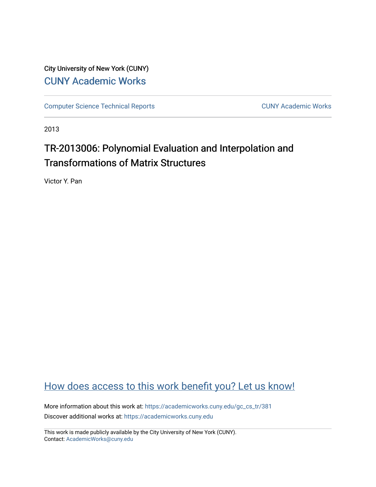City University of New York (CUNY) [CUNY Academic Works](https://academicworks.cuny.edu/) 

[Computer Science Technical Reports](https://academicworks.cuny.edu/gc_cs_tr) **CUNY Academic Works** CUNY Academic Works

2013

# TR-2013006: Polynomial Evaluation and Interpolation and Transformations of Matrix Structures

Victor Y. Pan

## [How does access to this work benefit you? Let us know!](http://ols.cuny.edu/academicworks/?ref=https://academicworks.cuny.edu/gc_cs_tr/381)

More information about this work at: [https://academicworks.cuny.edu/gc\\_cs\\_tr/381](https://academicworks.cuny.edu/gc_cs_tr/381)  Discover additional works at: [https://academicworks.cuny.edu](https://academicworks.cuny.edu/?)

This work is made publicly available by the City University of New York (CUNY). Contact: [AcademicWorks@cuny.edu](mailto:AcademicWorks@cuny.edu)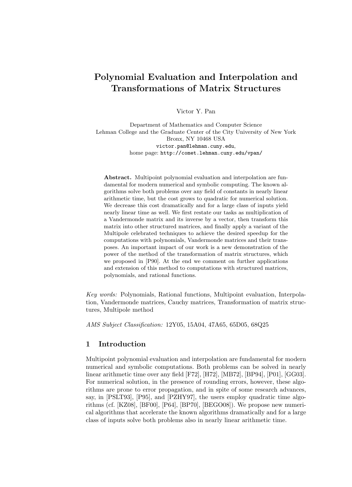## Polynomial Evaluation and Interpolation and Transformations of Matrix Structures

Victor Y. Pan

Department of Mathematics and Computer Science Lehman College and the Graduate Center of the City University of New York Bronx, NY 10468 USA victor.pan@lehman.cuny.edu, home page: http://comet.lehman.cuny.edu/vpan/

Abstract. Multipoint polynomial evaluation and interpolation are fundamental for modern numerical and symbolic computing. The known algorithms solve both problems over any field of constants in nearly linear arithmetic time, but the cost grows to quadratic for numerical solution. We decrease this cost dramatically and for a large class of inputs yield nearly linear time as well. We first restate our tasks as multiplication of a Vandermonde matrix and its inverse by a vector, then transform this matrix into other structured matrices, and finally apply a variant of the Multipole celebrated techniques to achieve the desired speedup for the computations with polynomials, Vandermonde matrices and their transposes. An important impact of our work is a new demonstration of the power of the method of the transformation of matrix structures, which we proposed in [P90]. At the end we comment on further applications and extension of this method to computations with structured matrices, polynomials, and rational functions.

Key words: Polynomials, Rational functions, Multipoint evaluation, Interpolation, Vandermonde matrices, Cauchy matrices, Transformation of matrix structures, Multipole method

AMS Subject Classification: 12Y05, 15A04, 47A65, 65D05, 68Q25

### 1 Introduction

Multipoint polynomial evaluation and interpolation are fundamental for modern numerical and symbolic computations. Both problems can be solved in nearly linear arithmetic time over any field [F72], [H72], [MB72], [BP94], [P01], [GG03]. For numerical solution, in the presence of rounding errors, however, these algorithms are prone to error propagation, and in spite of some research advances, say, in [PSLT93], [P95], and [PZHY97], the users employ quadratic time algorithms (cf. [KZ08], [BF00], [P64], [BP70], [BEGO08]). We propose new numerical algorithms that accelerate the known algorithms dramatically and for a large class of inputs solve both problems also in nearly linear arithmetic time.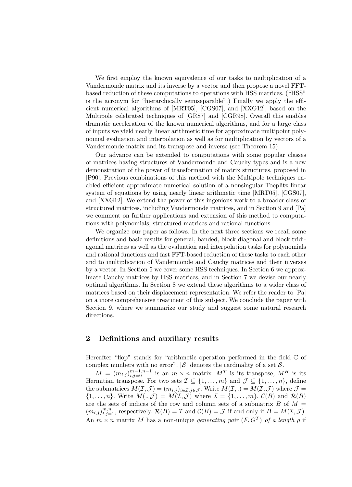We first employ the known equivalence of our tasks to multiplication of a Vandermonde matrix and its inverse by a vector and then propose a novel FFTbased reduction of these computations to operations with HSS matrices. ("HSS" is the acronym for "hierarchically semiseparable".) Finally we apply the efficient numerical algorithms of [MRT05], [CGS07], and [XXG12], based on the Multipole celebrated techniques of [GR87] and [CGR98]. Overall this enables dramatic acceleration of the known numerical algorithms, and for a large class of inputs we yield nearly linear arithmetic time for approximate multipoint polynomial evaluation and interpolation as well as for multiplication by vectors of a Vandermonde matrix and its transpose and inverse (see Theorem 15).

Our advance can be extended to computations with some popular classes of matrices having structures of Vandermonde and Cauchy types and is a new demonstration of the power of transformation of matrix structures, proposed in [P90]. Previous combinations of this method with the Multipole techniques enabled efficient approximate numerical solution of a nonsingular Toeplitz linear system of equations by using nearly linear arithmetic time [MRT05], [CGS07], and [XXG12]. We extend the power of this ingenious work to a broader class of structured matrices, including Vandermonde matrices, and in Section 9 and [Pa] we comment on further applications and extension of this method to computations with polynomials, structured matrices and rational functions.

We organize our paper as follows. In the next three sections we recall some definitions and basic results for general, banded, block diagonal and block tridiagonal matrices as well as the evaluation and interpolation tasks for polynomials and rational functions and fast FFT-based reduction of these tasks to each other and to multiplication of Vandermonde and Cauchy matrices and their inverses by a vector. In Section 5 we cover some HSS techniques. In Section 6 we approximate Cauchy matrices by HSS matrices, and in Section 7 we devise our nearly optimal algorithms. In Section 8 we extend these algorithms to a wider class of matrices based on their displacement representation. We refer the reader to [Pa] on a more comprehensive treatment of this subject. We conclude the paper with Section 9, where we summarize our study and suggest some natural research directions.

#### 2 Definitions and auxiliary results

Hereafter "flop" stands for "arithmetic operation performed in the field  $\mathbb C$  of complex numbers with no error".  $|\mathcal{S}|$  denotes the cardinality of a set  $\mathcal{S}$ .

 $M = (m_{i,j})_{i,j=0}^{m-1,n-1}$  is an  $m \times n$  matrix.  $M^T$  is its transpose,  $M^H$  is its Hermitian transpose. For two sets  $\mathcal{I} \subseteq \{1, ..., m\}$  and  $\mathcal{J} \subseteq \{1, ..., n\}$ , define the submatrices  $M(\mathcal{I}, \mathcal{J}) = (m_{i,j})_{i \in \mathcal{I}, j \in \mathcal{J}}$ . Write  $M(\mathcal{I}, .) = M(\mathcal{I}, \mathcal{J})$  where  $\mathcal{J} =$  $\{1,\ldots,n\}.$  Write  $M(.,\mathcal{J})=M(\mathcal{I},\mathcal{J})$  where  $\mathcal{I}=\{1,\ldots,m\}.$   $\mathcal{C}(B)$  and  $\mathcal{R}(B)$ are the sets of indices of the row and column sets of a submatrix  $B$  of  $M =$  $(m_{i,j})_{i,j=1}^{m,n}$ , respectively.  $\mathcal{R}(B) = \mathcal{I}$  and  $\mathcal{C}(B) = \mathcal{J}$  if and only if  $B = M(\mathcal{I}, \mathcal{J})$ . An  $m \times n$  matrix M has a non-unique generating pair  $(F, G^T)$  of a length  $\rho$  if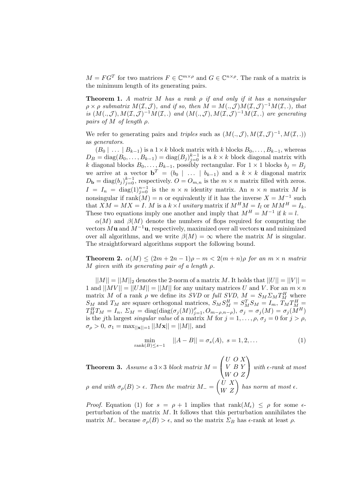$M = FG^T$  for two matrices  $F \in \mathbb{C}^{m \times \rho}$  and  $G \in \mathbb{C}^{n \times \rho}$ . The rank of a matrix is the minimum length of its generating pairs.

**Theorem 1.** A matrix M has a rank  $\rho$  if and only if it has a nonsingular  $\rho \times \rho$  submatrix  $M(\mathcal{I}, \mathcal{J})$ , and if so, then  $M = M(., \mathcal{J})M(\mathcal{I}, \mathcal{J})^{-1}M(\mathcal{I}, .)$ , that is  $(M(.,\mathcal{J}),M(\mathcal{I},\mathcal{J})^{-1}M(\mathcal{I},.)$  and  $(M(.,\mathcal{J}),M(\mathcal{I},\mathcal{J})^{-1}M(\mathcal{I},.)$  are generating pairs of M of length  $\rho$ .

We refer to generating pairs and triples such as  $(M(., \mathcal{J}), M(\mathcal{I}, \mathcal{J})^{-1}, M(\mathcal{I}, .))$ as generators.

 $(B_0 \mid \ldots \mid B_{k-1})$  is a  $1 \times k$  block matrix with k blocks  $B_0, \ldots, B_{k-1}$ , whereas  $D_B = \text{diag}(B_0, \ldots, B_{k-1}) = \text{diag}(B_j)_{j=0}^{k-1}$  is a  $k \times k$  block diagonal matrix with k diagonal blocks  $B_0, \ldots, B_{k-1}$ , possibly rectangular. For  $1 \times 1$  blocks  $b_j = B_j$ we arrive at a vector  $\mathbf{b}^T = (b_0 \mid \ldots \mid b_{k-1})$  and a  $k \times k$  diagonal matrix  $D_{\bf b} = \text{diag}(b_j)_{j=0}^{k-1}$ , respectively.  $O = O_{m,n}$  is the  $m \times n$  matrix filled with zeros.  $I = I_n = \text{diag}(1)_{j=0}^{n-1}$  is the  $n \times n$  identity matrix. An  $n \times n$  matrix M is nonsingular if  $rank(M) = n$  or equivalently if it has the inverse  $X = M^{-1}$  such that  $XM = MX = I$ . M is a  $k \times l$  unitary matrix if  $M^HM = I_l$  or  $MM^H = I_k$ . These two equations imply one another and imply that  $M^H = M^{-1}$  if  $k = l$ .

 $\alpha(M)$  and  $\beta(M)$  denote the numbers of flops required for computing the vectors Mu and  $M^{-1}$ u, respectively, maximized over all vectors u and minimized over all algorithms, and we write  $\beta(M) = \infty$  where the matrix M is singular. The straightforward algorithms support the following bound.

**Theorem 2.**  $\alpha(M) \leq (2m + 2n - 1)\rho - m < 2(m + n)\rho$  for an  $m \times n$  matrix M given with its generating pair of a length  $\rho$ .

 $||M|| = ||M||_2$  denotes the 2-norm of a matrix M. It holds that  $||U|| = ||V|| =$ 1 and  $||MV|| = ||UM|| = ||M||$  for any unitary matrices U and V. For an  $m \times n$ matrix M of a rank  $\rho$  we define its SVD or full SVD,  $M = S_M \Sigma_M T_M^H$  where  $S_M$  and  $T_M$  are square orthogonal matrices,  $S_M S_M^H = S_M^T S_M = I_m$ ,  $T_M T_M^H =$  $T_{M}^{H}T_{M} = I_{n}, \ \Sigma_{M} = \text{diag}(\text{diag}(\sigma_{j}(M))_{j=1}^{\rho}, O_{m-\rho,n-\rho}), \ \sigma_{j} = \sigma_{j}(M) = \sigma_{j}(M^{H})$ is the jth largest *singular value* of a matrix M for  $j = 1, \ldots, \rho, \sigma_j = 0$  for  $j > \rho$ ,  $\sigma_{\rho} > 0$ ,  $\sigma_1 = \max_{\vert\vert \mathbf{x} \vert\vert = 1} \vert\vert M\mathbf{x} \vert\vert = \vert\vert M \vert\vert$ , and

$$
\min_{\text{rank}(B) \le s-1} ||A - B|| = \sigma_s(A), \ s = 1, 2, \dots \tag{1}
$$

**Theorem 3.** Assume a  $3 \times 3$  block matrix  $M =$  $\sqrt{ }$  $\overline{1}$ U O X V B Y W O Z  $\setminus$ with  $\epsilon$ -rank at most p and with  $\sigma_\rho(B) > \epsilon$ . Then the matrix  $M_- = \begin{pmatrix} U & X \ W & Z \end{pmatrix}$  has norm at most  $\epsilon$ .

*Proof.* Equation (1) for  $s = \rho + 1$  implies that  $rank(M_{\epsilon}) \leq \rho$  for some  $\epsilon$ perturbation of the matrix  $M$ . It follows that this perturbation annihilates the matrix  $M_{-}$  because  $\sigma_{\rho}(B) > \epsilon$ , and so the matrix  $\Sigma_B$  has  $\epsilon$ -rank at least  $\rho$ .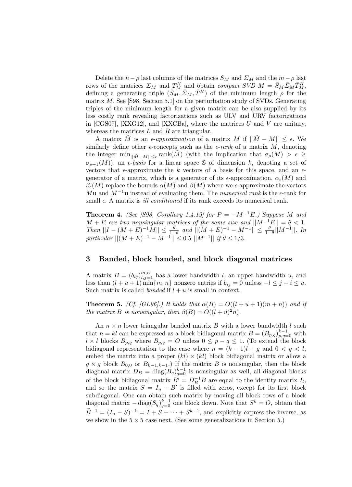Delete the  $n-\rho$  last columns of the matrices  $S_M$  and  $\Sigma_M$  and the  $m-\rho$  last rows of the matrices  $\Sigma_M$  and  $T_M^H$  and obtain compact SVD  $M = \bar{S}_M \bar{\Sigma}_M \bar{T}_M^H$ , defining a generating triple  $(\bar{S}_M, \bar{\Sigma}_M, \bar{T}^H)$  of the minimum length  $\rho$  for the matrix  $M$ . See [S98, Section 5.1] on the perturbation study of SVDs. Generating triples of the minimum length for a given matrix can be also supplied by its less costly rank revealing factorizations such as ULV and URV factorizations in [CGS07], [XXG12], and [XXCBa], where the matrices  $U$  and  $V$  are unitary, whereas the matrices  $L$  and  $R$  are triangular.

A matrix M is an  $\epsilon$ -approximation of a matrix M if  $||\tilde{M} - M|| \leq \epsilon$ . We similarly define other  $\epsilon$ -concepts such as the  $\epsilon$ -rank of a matrix M, denoting the integer  $\min_{\|\tilde{M}-M\|\leq\epsilon} \text{rank}(\tilde{M})$  (with the implication that  $\sigma_{\rho}(M) > \epsilon \geq$  $\sigma_{\rho+1}(M)$ , an  $\epsilon$ -basis for a linear space S of dimension k, denoting a set of vectors that  $\epsilon$ -approximate the k vectors of a basis for this space, and an  $\epsilon$ generator of a matrix, which is a generator of its  $\epsilon$ -approximation.  $\alpha_{\epsilon}(M)$  and  $\beta_{\epsilon}(M)$  replace the bounds  $\alpha(M)$  and  $\beta(M)$  where we  $\epsilon$ -approximate the vectors Mu and  $M^{-1}$ u instead of evaluating them. The numerical rank is the  $\epsilon$ -rank for small  $\epsilon$ . A matrix is *ill conditioned* if its rank exceeds its numerical rank.

**Theorem 4.** (See [S98, Corollary 1.4.19] for  $P = -M^{-1}E$ .) Suppose M and  $M + E$  are two nonsingular matrices of the same size and  $||M^{-1}E|| = \theta < 1$ . Then  $||I - (M + E)^{-1}M|| \le \frac{\theta}{1-\theta}$  and  $||(M + E)^{-1} - M^{-1}|| \le \frac{\theta}{1-\theta}||M^{-1}||$ . In particular  $||(M + E)^{-1} - M^{-1}|| \le 0.5 ||M^{-1}||$  if  $\theta \le 1/3$ .

#### 3 Banded, block banded, and block diagonal matrices

A matrix  $B = (b_{ij})_{i,j=1}^{m,n}$  has a lower bandwidth l, an upper bandwidth u, and less than  $(l + u + 1)$  min $\{m, n\}$  nonzero entries if  $b_{ij} = 0$  unless  $-l \leq j - i \leq u$ . Such matrix is called *banded* if  $l + u$  is small in context.

**Theorem 5.** (Cf. [GL96].) It holds that  $\alpha(B) = O((l+u+1)(m+n))$  and if the matrix B is nonsingular, then  $\beta(B) = O((l+u)^2n)$ .

An  $n \times n$  lower triangular banded matrix B with a lower bandwidth l such that  $n = kl$  can be expressed as a block bidiagonal matrix  $B = (B_{p,q})_{p,q=0}^{k-1}$  with  $l \times l$  blocks  $B_{p,q}$  where  $B_{p,q} = O$  unless  $0 \leq p - q \leq 1$ . (To extend the block bidiagonal representation to the case where  $n = (k-1)l + g$  and  $0 < g < l$ , embed the matrix into a proper  $(kl) \times (kl)$  block bidiagonal matrix or allow a  $g \times g$  block  $B_{0,0}$  or  $B_{k-1,k-1}$ .) If the matrix B is nonsingular, then the block diagonal matrix  $D_B = \text{diag}(B_q)_{q=0}^{k-1}$  is nonsingular as well, all diagonal blocks of the block bidiagonal matrix  $B' = D_B^{-1}B$  are equal to the identity matrix  $I_l$ , and so the matrix  $S = I_n - B'$  is filled with zeros, except for its first block subdiagonal. One can obtain such matrix by moving all block rows of a block diagonal matrix  $-\text{diag}(S_q)_{q=0}^{k-1}$  one block down. Note that  $S^k = O$ , obtain that  $\widehat{B}^{-1} = (I_n - S)^{-1} = I + S + \cdots + S^{k-1}$ , and explicitly express the inverse, as we show in the  $5 \times 5$  case next. (See some generalizations in Section 5.)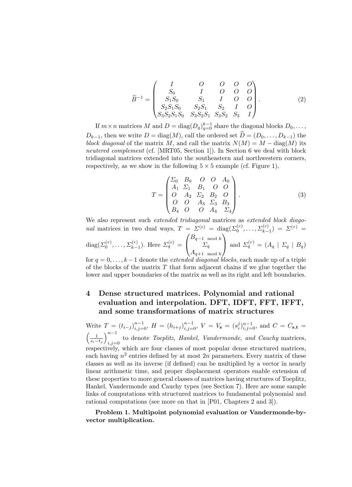$$
\widehat{B}^{-1} = \begin{pmatrix}\nI & O & O & O & O \\
S_0 & I & O & O & O \\
S_1 S_0 & S_1 & I & O & O \\
S_2 S_1 S_0 & S_2 S_1 & S_2 & I & O \\
S_3 S_2 S_1 S_0 & S_3 S_2 S_1 & S_3 S_2 & S_3 & I\n\end{pmatrix}.
$$
\n(2)

If  $m \times n$  matrices M and  $D = \text{diag}(D_q)_{q=0}^{k-1}$  share the diagonal blocks  $D_0, \ldots,$  $D_{k-1}$ , then we write  $D = \text{diag}(M)$ , call the ordered set  $\hat{D} = (D_0, \ldots, D_{k-1})$  the block diagonal of the matrix M, and call the matrix  $N(M) = M - \text{diag}(M)$  its neutered complement (cf. [MRT05, Section 1]). In Section 6 we deal with block tridiagonal matrices extended into the southeastern and northwestern corners, respectively, as we show in the following  $5 \times 5$  example (cf. Figure 1),

$$
T = \begin{pmatrix} \Sigma_0 & B_0 & O & O & A_0 \\ A_1 & \Sigma_1 & B_1 & O & O \\ O & A_2 & \Sigma_2 & B_2 & O \\ O & O & A_3 & \Sigma_3 & B_3 \\ B_4 & O & O & A_4 & \Sigma_4 \end{pmatrix}.
$$
 (3)

We also represent such *extended tridiagonal* matrices as *extended block diago*nal matrices in two dual ways,  $T = \Sigma^{(c)} = \text{diag}(\Sigma_0^{(c)}, \dots, \Sigma_{k-1}^{(c)}) = \Sigma^{(r)} =$ diag( $\Sigma_0^{(r)}, \ldots, \Sigma_{k-1}^{(r)}$ ). Here  $\Sigma_q^{(c)}$  =  $\sqrt{ }$  $\overline{1}$  $B_{q-1 \mod k}$  $\Sigma_q$  $A_{q+1 \mod k}$  $\setminus$ and  $\Sigma_q^{(r)} = (A_q \mid \Sigma_q \mid B_q)$ 

for  $q = 0, \ldots, k-1$  denote the *extended diagonal blocks*, each made up of a triple of the blocks of the matrix  $T$  that form adjacent chains if we glue together the lower and upper boundaries of the matrix as well as its right and left boundaries.

## 4 Dense structured matrices. Polynomial and rational evaluation and interpolation. DFT, IDFT, FFT, IFFT, and some transformations of matrix structures

Write  $T = (t_{i-j})_{i,j=0}^{n-1}$ ,  $H = (h_{i+j})_{i,j=0}^{n-1}$ ,  $V = V_s = (s_i^j)_{i,j=0}^{n-1}$ , and  $C = C_{s,t}$  $\left(\frac{1}{s_i-t_j}\right)_{i=i-1}^{n-1}$ to denote Toeplitz, Hankel, Vandermonde, and Cauchy matrices,  $i,j=0$ respectively, which are four classes of most popular dense structured matrices, each having  $n^2$  entries defined by at most  $2n$  parameters. Every matrix of these classes as well as its inverse (if defined) can be multiplied by a vector in nearly linear arithmetic time, and proper displacement operators enable extension of these properties to more general classes of matrices having structures of Toeplitz, Hankel, Vandermonde and Cauchy types (see Section 7). Here are some sample links of computations with structured matrices to fundamental polynomial and rational computations (see more on that in [P01, Chapters 2 and 3]).

Problem 1. Multipoint polynomial evaluation or Vandermonde-byvector multiplication.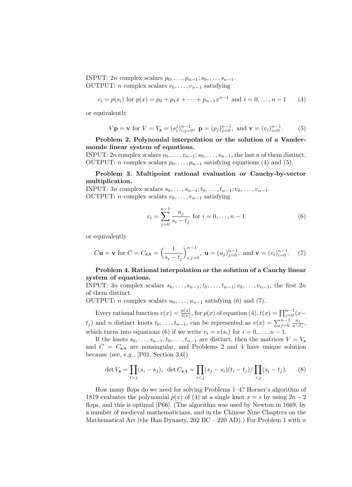INPUT: 2n complex scalars  $p_0, \ldots, p_{n-1}; s_0, \ldots, s_{n-1}$ . OUTPUT: *n* complex scalars  $v_0, \ldots, v_{n-1}$  satisfying

$$
v_i = p(s_i)
$$
 for  $p(x) = p_0 + p_1 x + \dots + p_{n-1} x^{n-1}$  and  $i = 0, \dots, n-1$  (4)

or equivalently

$$
V
$$
**p** = **v** for  $V = V$ **s** =  $(s_i^j)_{i,j=0}^{n-1}$ , **p** =  $(p_j)_{j=0}^{n-1}$ , and **v** =  $(v_i)_{i=0}^{n-1}$ . (5)

Problem 2. Polynomial interpolation or the solution of a Vandermonde linear system of equations.

INPUT: 2n complex scalars  $v_0, \ldots, v_{n-1}; s_0, \ldots, s_{n-1}$ , the last n of them distinct. OUTPUT: *n* complex scalars  $p_0, \ldots, p_{n-1}$  satisfying equations (4) and (5).

Problem 3. Multipoint rational evaluation or Cauchy-by-vector multiplication.

INPUT:  $3n$  complex scalars  $s_0, \ldots, s_{n-1}; t_0, \ldots, t_{n-1}; v_0, \ldots, v_{n-1}.$ OUTPUT: *n* complex scalars  $v_0, \ldots, v_{n-1}$  satisfying

$$
v_i = \sum_{j=0}^{n-1} \frac{u_j}{s_i - t_j} \text{ for } i = 0, \dots, n-1
$$
 (6)

or equivalently

$$
C\mathbf{u} = \mathbf{v}
$$
 for  $C = C_{\mathbf{s}, \mathbf{t}} = \left(\frac{1}{s_i - t_j}\right)_{i,j=0}^{n-1}$ ,  $\mathbf{u} = (u_j)_{j=0}^{n-1}$ , and  $\mathbf{v} = (v_i)_{i=0}^{n-1}$ . (7)

#### Problem 4. Rational interpolation or the solution of a Cauchy linear system of equations.

INPUT: 3n complex scalars  $s_0, \ldots, s_{n-1}; t_0, \ldots, t_{n-1}; v_0, \ldots, v_{n-1}$ , the first 2n of them distinct.

OUTPUT: *n* complex scalars  $u_0, \ldots, u_{n-1}$  satisfying (6) and (7).

Every rational function  $v(x) = \frac{p(x)}{t(x)}$ , for  $p(x)$  of equation (4),  $t(x) = \prod_{j=0}^{n-1} (x$  $t_j$ ) and *n* distinct knots  $t_0, \ldots, t_{n-1}$ , can be represented as  $v(x) = \sum_{j=0}^{n-1} \frac{u_j}{x-j}$  $\frac{u_j}{x-t_j},$ which turns into equations (6) if we write  $v_i = v(s_i)$  for  $i = 0, \ldots, n - 1$ .

If the knots  $s_0, \ldots, s_{n-1}, t_0, \ldots, t_{n-1}$  are distinct, then the matrices  $V = V_s$ and  $C = C_{s,t}$  are nonsingular, and Problems 2 and 4 have unique solution because (see, e.g., [P01, Section 3.6])

$$
\det V_{\mathbf{s}} = \prod_{i > j} (s_i - s_j), \ \ \det C_{\mathbf{s}, \mathbf{t}} = \prod_{i < j} (s_j - s_i)(t_i - t_j) / \prod_{i, j} (s_i - t_j). \tag{8}
$$

How many flops do we need for solving Problems 1–4? Horner's algorithm of 1819 evaluates the polynomial  $p(x)$  of (4) at a single knot  $x = s$  by using  $2n - 2$ flops, and this is optimal [P66]. (The algorithm was used by Newton in 1669, by a number of medieval mathematicians, and in the Chinese Nine Chapters on the Mathematical Art (the Han Dynasty,  $202$  BC –  $220$  AD).) For Problem 1 with n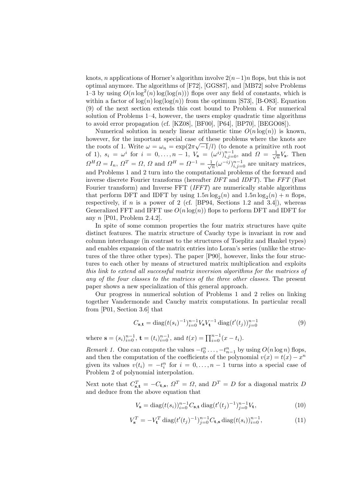knots, n applications of Horner's algorithm involve  $2(n-1)n$  flops, but this is not optimal anymore. The algorithms of [F72], [GGS87], and [MB72] solve Problems 1–3 by using  $O(n \log^2(n) \log(\log(n)))$  flops over any field of constants, which is within a factor of  $log(n)log(log(n))$  from the optimum [S73], [B-O83]. Equation (9) of the next section extends this cost bound to Problem 4. For numerical solution of Problems 1–4, however, the users employ quadratic time algorithms to avoid error propagation (cf. [KZ08], [BF00], [P64], [BP70], [BEGO08]).

Numerical solution in nearly linear arithmetic time  $O(n \log(n))$  is known, however, for the important special case of these problems where the knots are the roots of 1. Write  $\omega = \omega_n = \exp(2\pi\sqrt{-1}/l)$  (to denote a primitive nth root of 1),  $s_i = \omega^i$  for  $i = 0, \ldots, n-1$ ,  $V_s = (\omega^{i\hat{j}})_{i,j=0}^{n-1}$ , and  $\Omega = \frac{1}{\sqrt{n}} V_s$ . Then  $\Omega^H \Omega = I_n$ ,  $\Omega^T = \Omega$ ,  $\Omega$  and  $\Omega^H = \Omega^{-1} = \frac{1}{\sqrt{n}} (\omega^{-ij})_{i,j=0}^{n-1}$  are unitary matrices, and Problems 1 and 2 turn into the computational problems of the forward and inverse discrete Fourier transforms (hereafter DFT and IDFT). The FFT (Fast Fourier transform) and Inverse FFT (IFFT) are numerically stable algorithms that perform DFT and IDFT by using  $1.5n \log_2(n)$  and  $1.5n \log_2(n) + n$  flops, respectively, if n is a power of 2 (cf.  $[BP94,$  Sections 1.2 and 3.4]), whereas Generalized FFT and IFFT use  $O(n \log(n))$  flops to perform DFT and IDFT for any  $n$  [P01, Problem 2.4.2].

In spite of some common properties the four matrix structures have quite distinct features. The matrix structure of Cauchy type is invariant in row and column interchange (in contrast to the structures of Toeplitz and Hankel types) and enables expansion of the matrix entries into Loran's series (unlike the structures of the three other types). The paper [P90], however, links the four structures to each other by means of structured matrix multiplication and exploits this link to extend all successful matrix inversion algorithms for the matrices of any of the four classes to the matrices of the three other classes. The present paper shows a new specialization of this general approach.

Our progress in numerical solution of Problems 1 and 2 relies on linking together Vandermonde and Cauchy matrix computations. In particular recall from [P01, Section 3.6] that

$$
C_{\mathbf{s},\mathbf{t}} = \text{diag}(t(s_i)^{-1})_{i=0}^{n-1} V_{\mathbf{s}} V_{\mathbf{t}}^{-1} \text{ diag}(t'(t_j))_{j=0}^{n-1}
$$
(9)

where  $\mathbf{s} = (s_i)_{i=0}^{n-1}, \mathbf{t} = (t_i)_{i=0}^{n-1}, \text{ and } t(x) = \prod_{i=0}^{n-1} (x - t_i).$ 

*Remark 1*. One can compute the values  $-t_0^n \ldots, -t_{n-1}^n$  by using  $O(n \log n)$  flops, and then the computation of the coefficients of the polynomial  $v(x) = t(x) - x^n$ given its values  $v(t_i) = -t_i^n$  for  $i = 0, \ldots, n-1$  turns into a special case of Problem 2 of polynomial interpolation.

Next note that  $C_{s,t}^T = -C_{t,s}$ ,  $\Omega^T = \Omega$ , and  $D^T = D$  for a diagonal matrix D and deduce from the above equation that

$$
V_{s} = \text{diag}(t(s_i))_{i=0}^{n-1} C_{s,t} \text{ diag}(t'(t_j)^{-1})_{j=0}^{n-1} V_{t},
$$
\n(10)

$$
V_s^T = -V_t^T \operatorname{diag}(t'(t_j)^{-1})_{j=0}^{n-1} C_{\mathbf{t}, \mathbf{s}} \operatorname{diag}(t(s_i))_{i=0}^{n-1},\tag{11}
$$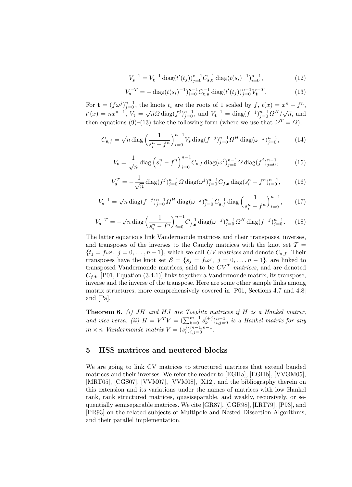$$
V_{\mathbf{s}}^{-1} = V_{\mathbf{t}}^{-1} \operatorname{diag}(t'(t_j))_{j=0}^{n-1} C_{\mathbf{s}, \mathbf{t}}^{-1} \operatorname{diag}(t(s_i)^{-1})_{i=0}^{n-1}, \tag{12}
$$

$$
V_{\mathbf{s}}^{-T} = -\operatorname{diag}(t(s_i)^{-1})_{i=0}^{n-1} C_{\mathbf{t},\mathbf{s}}^{-1} \operatorname{diag}(t'(t_j))_{j=0}^{n-1} V_{\mathbf{t}}^{-T}.
$$
 (13)

For  $\mathbf{t} = (f\omega^j)_{j=0}^{n-1}$ , the knots  $t_i$  are the roots of 1 scaled by  $f, t(x) = x^n - f^n$ ,  $t'(x) = nx^{n-1}, V_t = \sqrt{n}\Omega \operatorname{diag}(f^j)_{j=0}^{n-1}, \text{ and } V_t^{-1} = \operatorname{diag}(f^{-j})_{j=0}^{n-1}\Omega^H/\sqrt{n}, \text{ and}$ then equations (9)–(13) take the following form (where we use that  $\Omega^T = \Omega$ ),

$$
C_{\mathbf{s},f} = \sqrt{n} \operatorname{diag}\left(\frac{1}{s_i^n - f^n}\right)_{i=0}^{n-1} V_{\mathbf{s}} \operatorname{diag}(f^{-j})_{j=0}^{n-1} \Omega^H \operatorname{diag}(\omega^{-j})_{j=0}^{n-1},\tag{14}
$$

$$
V_{\mathbf{s}} = \frac{1}{\sqrt{n}} \operatorname{diag} \left( s_i^n - f^n \right)_{i=0}^{n-1} C_{\mathbf{s},f} \operatorname{diag} (\omega^j)_{j=0}^{n-1} \Omega \operatorname{diag} (f^j)_{j=0}^{n-1}, \qquad (15)
$$

$$
V_{\mathbf{s}}^{T} = -\frac{1}{\sqrt{n}} \operatorname{diag}(f^{j})_{j=0}^{n-1} \Omega \operatorname{diag}(\omega^{j})_{j=0}^{n-1} C_{f,\mathbf{s}} \operatorname{diag}(s_{i}^{n} - f^{n})_{i=0}^{n-1}, \qquad (16)
$$

$$
V_{\mathbf{s}}^{-1} = \sqrt{n} \operatorname{diag}(f^{-j})_{j=0}^{n-1} \Omega^H \operatorname{diag}(\omega^{-j})_{j=0}^{n-1} C_{\mathbf{s},f}^{-1} \operatorname{diag}\left(\frac{1}{s_i^n - f^n}\right)_{i=0}^{n-1},\qquad(17)
$$

$$
V_{\mathbf{s}}^{-T} = -\sqrt{n} \operatorname{diag}\left(\frac{1}{s_i^n - f^n}\right)_{i=0}^{n-1} C_{f,\mathbf{s}}^{-1} \operatorname{diag}(\omega^{-j})_{j=0}^{n-1} \Omega^H \operatorname{diag}(f^{-j})_{j=0}^{n-1}.
$$
 (18)

The latter equations link Vandermonde matrices and their transposes, inverses, and transposes of the inverses to the Cauchy matrices with the knot set  $\mathcal{T} =$  $\{t_j = f\omega^j, j = 0,\ldots,n-1\}$ , which we call CV matrices and denote  $C_{s,f}$ . Their transposes have the knot set  $S = \{s_j = f\omega^j, j = 0, \ldots, n-1\}$ , are linked to transposed Vandermonde matrices, said to be  $CV<sup>T</sup>$  matrices, and are denoted  $C_{f,t}$ . [P01, Equation (3.4.1)] links together a Vandermonde matrix, its transpose, inverse and the inverse of the transpose. Here are some other sample links among matrix structures, more comprehensively covered in [P01, Sections 4.7 and 4.8] and [Pa].

**Theorem 6.** (i) JH and HJ are Toeplitz matrices if H is a Hankel matrix, and vice versa. (ii)  $H = V^T V = (\sum_{k=0}^{m-1} s_k^{i+j})_{i,j=0}^{n-1}$  is a Hankel matrix for any  $m \times n$  Vandermonde matrix  $V = (s_i^j)_{i,j=0}^{m-1,n-1}$ .

#### 5 HSS matrices and neutered blocks

We are going to link CV matrices to structured matrices that extend banded matrices and their inverses. We refer the reader to [EGHa], [EGHb], [VVGM05], [MRT05], [CGS07], [VVM07], [VVM08], [X12], and the bibliography therein on this extension and its variations under the names of matrices with low Hankel rank, rank structured matrices, quasiseparable, and weakly, recursively, or sequentially semiseparable matrices. We cite [GR87], [CGR98], [LRT79], [P93], and [PR93] on the related subjects of Multipole and Nested Dissection Algorithms, and their parallel implementation.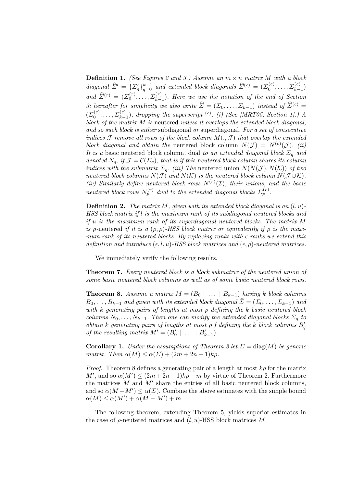**Definition 1.** (See Figures 2 and 3.) Assume an  $m \times n$  matrix M with a block diagonal  $\widehat{\Sigma}' = {\sum_{q}^{\prime}}\}_{q=0}^{k-1}$  and extended block diagonals  $\widehat{\Sigma}^{(c)} = (\Sigma_0^{(c)}, \ldots, \Sigma_{k-1}^{(c)})$ and  $\widehat{\Sigma}^{(r)} = (\Sigma_0^{(r)}, \ldots, \Sigma_{k-1}^{(r)})$ . Here we use the notation of the end of Section 3; hereafter for simplicity we also write  $\hat{\Sigma} = (\Sigma_0, \dots, \Sigma_{k-1})$  instead of  $\hat{\Sigma}^{(c)}$  =  $(\Sigma_0^{(c)}, \ldots, \Sigma_{k-1}^{(c)})$ , dropping the superscript <sup>(c)</sup>. (i) (See [MRT05, Section 1].) A block of the matrix M is neutered unless it overlaps the extended block diagonal, and so such block is either subdiagonal or superdiagonal. For a set of consecutive indices J remove all rows of the block column  $M(.,\mathcal{J})$  that overlap the extended block diagonal and obtain the neutered block column  $N(\mathcal{J}) = N^{(c)}(\mathcal{J})$ . (ii) It is a basic neutered block column, dual to an extended diagonal block  $\Sigma_q$  and denoted  $N_q$ , if  $\mathcal{J} = \mathcal{C}(\Sigma_q)$ , that is if this neutered block column shares its column indices with the submatrix  $\Sigma_q$ . (iii) The neutered union  $N(N(\mathcal{J}), N(\mathcal{K}))$  of two neutered block columns  $N(\mathcal{J})$  and  $N(\mathcal{K})$  is the neutered block column  $N(\mathcal{J}\cup\mathcal{K})$ . (iv) Similarly define neutered block rows  $N^{(r)}(\mathcal{I})$ , their unions, and the basic neutered block rows  $N_p^{(r)}$  dual to the extended diagonal blocks  $\Sigma_p^{(r)}$ .

**Definition 2.** The matrix M, given with its extended block diagonal is an  $(l, u)$ -HSS block matrix if l is the maximum rank of its subdiagonal neutered blocks and if u is the maximum rank of its superdiagonal neutered blocks. The matrix M is ρ-neutered if it is a  $(\rho, \rho)$ -HSS block matrix or equivalently if  $\rho$  is the maximum rank of its neutered blocks. By replacing ranks with  $\epsilon$ -ranks we extend this definition and introduce  $(\epsilon, l, u)$ -HSS block matrices and  $(\epsilon, \rho)$ -neutered matrices.

We immediately verify the following results.

Theorem 7. Every neutered block is a block submatrix of the neutered union of some basic neutered block columns as well as of some basic neutered block rows.

**Theorem 8.** Assume a matrix  $M = (B_0 \mid ... \mid B_{k-1})$  having k block columns  $B_0, \ldots, B_{k-1}$  and given with its extended block diagonal  $\widehat{\Sigma} = (\Sigma_0, \ldots, \Sigma_{k-1})$  and with k generating pairs of lengths at most  $\rho$  defining the k basic neutered block columns  $N_0, \ldots, N_{k-1}$ . Then one can modify the extended diagonal blocks  $\Sigma_q$  to obtain k generating pairs of lengths at most  $\rho$  f defining the k block columns  $B_q'$ of the resulting matrix  $M' = (B'_0 \mid \ldots \mid B'_{k-1}).$ 

**Corollary 1.** Under the assumptions of Theorem 8 let  $\Sigma = \text{diag}(M)$  be generic matrix. Then  $\alpha(M) \leq \alpha(\Sigma) + (2m + 2n - 1)k\rho$ .

*Proof.* Theorem 8 defines a generating pair of a length at most  $k\rho$  for the matrix M', and so  $\alpha(M') \leq (2m + 2n - 1)k\rho - m$  by virtue of Theorem 2. Furthermore the matrices  $M$  and  $M'$  share the entries of all basic neutered block columns, and so  $\alpha(M-M') \leq \alpha(\Sigma)$ . Combine the above estimates with the simple bound  $\alpha(M) \leq \alpha(M') + \alpha(M - M') + m.$ 

The following theorem, extending Theorem 5, yields superior estimates in the case of  $\rho$ -neutered matrices and  $(l, u)$ -HSS block matrices M.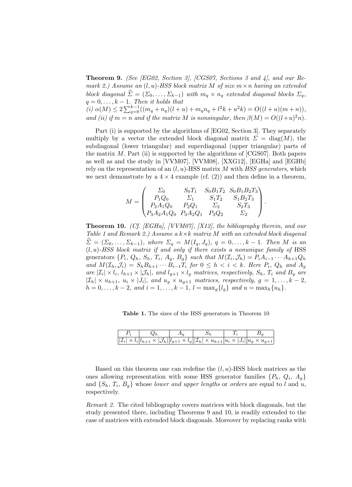Theorem 9. (See [EG02, Section 3], [CGS07, Sections 3 and 4], and our Remark 2.) Assume an  $(l, u)$ -HSS block matrix M of size  $m \times n$  having an extended block diagonal  $\hat{\Sigma} = (\Sigma_0, \dots, \Sigma_{k-1})$  with  $m_q \times n_q$  extended diagonal blocks  $\Sigma_q$ ,  $q = 0, \ldots, k - 1$ . Then it holds that  $\widehat{J}(i) \alpha(M) \leq 2 \sum_{q=0}^{k-1} ((m_q + n_q)(l+u) + m_q n_q + l^2 k + u^2 k) = O((l+u)(m+n)),$ and (ii) if  $m = n$  and if the matrix M is nonsingular, then  $\beta(M) = O((l+u)^2n)$ .

Part (i) is supported by the algorithms of [EG02, Section 3]. They separately multiply by a vector the extended block diagonal matrix  $\Sigma = \text{diag}(M)$ , the subdiagonal (lower triangular) and superdiagonal (upper triangular) parts of the matrix  $M$ . Part (ii) is supported by the algorithms of [CGS07]. Both papers as well as and the study in [VVM07], [VVM08], [XXG12], [EGHa] and [EGHb] rely on the representation of an  $(l, u)$ -HSS matrix M with HSS generators, which we next demonstrate by a  $4 \times 4$  example (cf. (2)) and then define in a theorem,

$$
M = \begin{pmatrix} \Sigma_0 & S_0 T_1 & S_0 B_1 T_2 & S_0 B_1 B_2 T_3 \\ P_1 Q_0 & \Sigma_1 & S_1 T_2 & S_1 B_2 T_3 \\ P_2 A_1 Q_0 & P_2 Q_1 & \Sigma_2 & S_2 T_3 \\ P_3 A_2 A_1 Q_0 & P_3 A_2 Q_1 & P_3 Q_2 & \Sigma_2 \end{pmatrix}.
$$

Theorem 10. (Cf. [EGHa], [VVM07], [X12], the bibliography therein, and our Table 1 and Remark 2.) Assume a  $k \times k$  matrix M with an extended block diagonal  $\Sigma = (\Sigma_0, \ldots, \Sigma_{k-1}),$  where  $\Sigma_q = M(I_q, J_q), q = 0, \ldots, k-1$ . Then M is an  $(l, u)$ -HSS block matrix if and only if there exists a nonunique family of HSS generators  $\{P_i, Q_h, S_h, T_i, A_g, B_g\}$  such that  $M(\mathcal{I}_i, \mathcal{J}_h) = P_i A_{i-1} \cdots A_{h+1} Q_h$ and  $M(\mathcal{I}_h,\mathcal{J}_i) = S_h B_{h+1} \cdots B_{i-1} T_i$  for  $0 \leq h \leq i \leq k$ . Here  $P_i$ ,  $Q_h$  and  $A_g$ are  $|\mathcal{I}_i| \times l_i$ ,  $l_{h+1} \times |\mathcal{J}_h|$ , and  $l_{g+1} \times l_g$  matrices, respectively,  $S_h$ ,  $T_i$  and  $B_g$  are  $|\mathcal{I}_h| \times u_{h+1}, u_i \times |J_i|$ , and  $u_g \times u_{g+1}$  matrices, respectively,  $g = 1, ..., k-2$ ,  $h = 0, \ldots, k - 2, \text{ and } i = 1, \ldots, k - 1, l = \max_{g} \{l_g\} \text{ and } u = \max_{h} \{u_h\}.$ 

Table 1. The sizes of the HSS generators in Theorem 10

| $Q_h$ |                                                                                                                                                     |  |
|-------|-----------------------------------------------------------------------------------------------------------------------------------------------------|--|
|       | $  \mathcal{I}_i  \times l_i  l_{h+1} \times  \mathcal{J}_h  l_{g+1} \times l_g  \mathcal{I}_h  \times u_{h+1} u_i \times  J_i  u_g \times u_{g+1}$ |  |

Based on this theorem one can redefine the  $(l, u)$ -HSS block matrices as the ones allowing representation with some HSS generator families  $\{P_h, Q_i, A_g\}$ and  $\{S_h, T_i, B_g\}$  whose *lower and upper lengths* or *orders* are equal to l and u, respectively.

Remark 2. The cited bibliography covers matrices with block diagonals, but the study presented there, including Theorems 9 and 10, is readily extended to the case of matrices with extended block diagonals. Moreover by replacing ranks with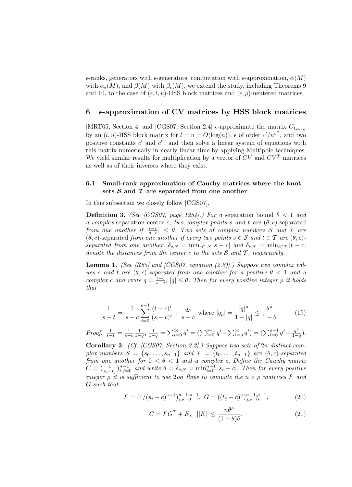$\epsilon$ -ranks, generators with  $\epsilon$ -generators, computation with  $\epsilon$ -approximation,  $\alpha(M)$ with  $\alpha_{\epsilon}(M)$ , and  $\beta(M)$  with  $\beta_{\epsilon}(M)$ , we extend the study, including Theorems 9 and 10, to the case of  $(\epsilon, l, u)$ -HSS block matrices and  $(\epsilon, \rho)$ -neutered matrices.

#### $6$   $\epsilon$ -approximation of CV matrices by HSS block matrices

[MRT05, Section 4] and [CGS07, Section 2.4]  $\epsilon$ -approximate the matrix  $C_{1,\omega_{2n}}$ by an  $(l, u)$ -HSS block matrix for  $l = u = O(\log(n))$ ,  $\epsilon$  of order  $c'/n^{c''}$ , and two positive constants  $c'$  and  $c''$ , and then solve a linear system of equations with this matrix numerically in nearly linear time by applying Multipole techniques. We yield similar results for multiplication by a vector of  $CV$  and  $CV<sup>T</sup>$  matrices as well as of their inverses where they exist.

#### 6.1 Small-rank approximation of Cauchy matrices where the knot sets  $S$  and  $T$  are separated from one another

In this subsection we closely follow [CGS07].

**Definition 3.** (See [CGS07, page 1254].) For a separation bound  $\theta < 1$  and a complex separation center c, two complex points s and t are  $(\theta, c)$ -separated from one another if  $|\frac{t-c}{s-c}|\leq \theta$ . Two sets of complex numbers S and T are  $(\theta, c)$ -separated from one another if every two points  $s \in \mathcal{S}$  and  $t \in \mathcal{T}$  are  $(\theta, c)$ separated from one another.  $\delta_{c,S} = \min_{s \in S} |s - c|$  and  $\delta_{c,T} = \min_{t \in T} |t - c|$ denote the distances from the center c to the sets  $S$  and  $T$ , respectively.

**Lemma 1.** (See [R85] and [CGS07, equation  $(2.8)$ ].) Suppose two complex values s and t are  $(\theta, c)$ -separated from one another for a positive  $\theta < 1$  and a complex c and write  $q = \frac{t-c}{s-c}$ ,  $|q| \leq \theta$ . Then for every positive integer  $\rho$  it holds that

$$
\frac{1}{s-t} = \frac{1}{s-c} \sum_{i=0}^{\rho-1} \frac{(t-c)^i}{(s-c)^i} + \frac{q_\rho}{s-c} \text{ where } |q_\rho| = \frac{|q|^\rho}{1-|q|} \le \frac{\theta^\rho}{1-\theta}.
$$
 (19)

*Proof.* 
$$
\frac{1}{s-t} = \frac{1}{s-c} \frac{1}{1-q}, \frac{1}{1-q} = \sum_{i=0}^{\infty} q^i = (\sum_{i=0}^{\rho-1} q^i + \sum_{i=\rho}^{\infty} q^i) = (\sum_{i=0}^{\rho-1} q^i + \frac{q^{\rho}}{1-q}).
$$

Corollary 2. (Cf. [CGS07, Section 2.2].) Suppose two sets of 2n distinct complex numbers  $S = \{s_0, \ldots, s_{n-1}\}\$  and  $\mathcal{T} = \{t_0, \ldots, t_{n-1}\}\$  are  $(\theta, c)$ -separated from one another for  $0 < \theta < 1$  and a complex c. Define the Cauchy matrix  $C = (\frac{1}{s_i-t_j})_{i,j=0}^{n-1}$  and write  $\delta = \delta_{c,S} = \min_{i=0}^{n-1} |s_i - c|$ . Then for every positive integer  $\rho$  it is sufficient to use  $2\rho n$  flops to compute the  $n \times \rho$  matrices F and G such that

$$
F = (1/(s_i - c)^{\nu+1})_{i,\nu=0}^{n-1,\rho-1}, \ G = ((t_j - c)^{\nu})_{j,\nu=0}^{n-1,\rho-1}, \tag{20}
$$

$$
C = FG^{T} + E, \quad ||E|| \le \frac{n\theta^{\rho}}{(1-\theta)\delta}.
$$
 (21)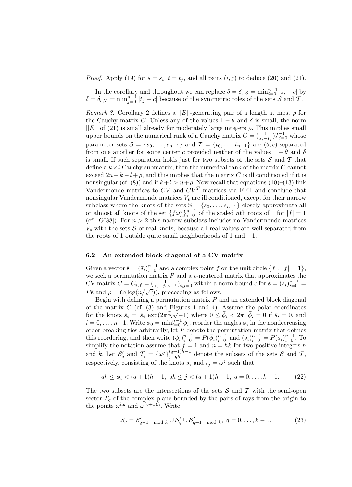*Proof.* Apply (19) for  $s = s_i$ ,  $t = t_j$ , and all pairs  $(i, j)$  to deduce (20) and (21).

In the corollary and throughout we can replace  $\delta = \delta_{c,S} = \min_{i=0}^{n-1} |s_i - c|$  by  $\delta = \delta_{c,T} = \min_{j=0}^{n-1} |t_j - c|$  because of the symmetric roles of the sets  $S$  and  $T$ .

Remark 3. Corollary 2 defines a  $||E||$ -generating pair of a length at most  $\rho$  for the Cauchy matrix C. Unless any of the values  $1 - \theta$  and  $\delta$  is small, the norm  $||E||$  of (21) is small already for moderately large integers  $\rho$ . This implies small upper bounds on the numerical rank of a Cauchy matrix  $C = (\frac{1}{s_i - t_j})_{i,j=0}^{n-1}$  whose parameter sets  $S = \{s_0, \ldots, s_{n-1}\}\$ and  $\mathcal{T} = \{t_0, \ldots, t_{n-1}\}\$ are  $(\theta, c)$ -separated from one another for some center c provided neither of the values  $1 - \theta$  and  $\delta$ is small. If such separation holds just for two subsets of the sets  $\mathcal S$  and  $\mathcal T$  that define a  $k \times l$  Cauchy submatrix, then the numerical rank of the matrix C cannot exceed  $2n-k-l+\rho$ , and this implies that the matrix C is ill conditioned if it is nonsingular (cf. (8)) and if  $k+l > n+\rho$ . Now recall that equations (10)–(13) link Vandermonde matrices to  $CV$  and  $CV<sup>T</sup>$  matrices via FFT and conclude that nonsingular Vandermonde matrices  $V_s$  are ill conditioned, except for their narrow subclass where the knots of the sets  $\mathbb{S} = \{s_0, \ldots, s_{n-1}\}\)$  closely approximate all or almost all knots of the set  ${f \omega_n^i}_{i=0}^{n-1}$  of the scaled *nth* roots of 1 for  $|f| = 1$ (cf. [GI88]). For  $n > 2$  this narrow subclass includes no Vandermonde matrices  $V<sub>s</sub>$  with the sets S of real knots, because all real values are well separated from the roots of 1 outside quite small neighborhoods of 1 and −1.

#### 6.2 An extended block diagonal of a CV matrix

Given a vector  $\bar{\mathbf{s}} = (\bar{s}_i)_{i=0}^{n-1}$  and a complex point f on the unit circle  $\{f : |f| = 1\}$ , we seek a permutation matrix  $P$  and a  $\rho$ -neutered matrix that approximates the CV matrix  $C = C_{\mathbf{s},f} = \left(\frac{1}{s_i - f\omega^{j-1}}\right)_{i,j=0}^{n-1}$  within a norm bound  $\epsilon$  for  $\mathbf{s} = (s_i)_{i=0}^{n-1} = P\bar{\mathbf{s}}$  and  $\rho = O(\log(n/\sqrt{\epsilon}))$ , proceeding as follows.  $P\bar{\mathbf{s}}$  and  $\rho = O(\log(n/\sqrt{\epsilon}))$ , proceeding as follows.

Begin with defining a permutation matrix  $P$  and an extended block diagonal of the matrix C (cf. (3) and Figures 1 and 4). Assume the polar coordinates for the knots  $\bar{s}_i = |\bar{s}_i| \exp(2\pi \bar{\phi}_i \sqrt{-1})$  where  $0 \leq \bar{\phi}_i < 2\pi$ ,  $\bar{\phi}_i = 0$  if  $\bar{s}_i = 0$ , and  $i = 0, \ldots, n-1$ . Write  $\phi_0 = \min_{i=0}^{n-1} \vec{\phi}_i$ , reorder the angles  $\vec{\phi}_i$  in the nondecreasing order breaking ties arbitrarily, let  $P$  denote the permutation matrix that defines this reordering, and then write  $(\phi_i)_{i=0}^{n-1} = P(\bar{\phi}_i)_{i=0}^{n-1}$  and  $(s_i)_{i=0}^{n-1} = P(\bar{s}_i)_{i=0}^{n-1}$ . To simplify the notation assume that  $f = 1$  and  $n = hk$  for two positive integers h and k. Let  $S'_q$  and  $\mathcal{T}_q = {\omega^j}_{j=qh}^{(q+1)h-1}$  denote the subsets of the sets S and T, respectively, consisting of the knots  $s_i$  and  $t_j = \omega^j$  such that

$$
qh \le \phi_i < (q+1)h - 1, \ qh \le j < (q+1)h - 1, \ q = 0, \dots, k - 1. \tag{22}
$$

The two subsets are the intersections of the sets  $S$  and  $T$  with the semi-open sector  $\Gamma_q$  of the complex plane bounded by the pairs of rays from the origin to the points  $\omega^{hq}$  and  $\omega^{(q+1)h}$ . Write

$$
\mathcal{S}_q = \mathcal{S}'_{q-1 \mod k} \cup \mathcal{S}'_q \cup \mathcal{S}'_{q+1 \mod k}, \ q = 0, \dots, k-1.
$$
 (23)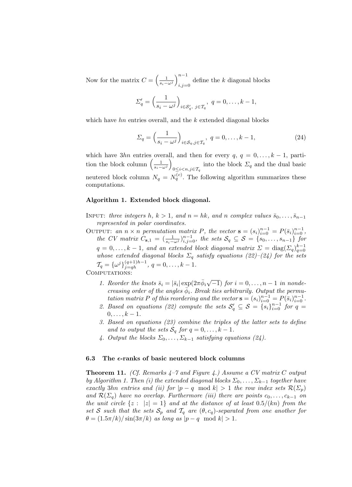Now for the matrix  $C = \left(\frac{1}{s_i - \omega^j}\right)_{i,j=1}^{n-1}$ define the k diagonal blocks

$$
\Sigma'_q = \left(\frac{1}{s_i - \omega^j}\right)_{i \in \mathcal{S}'_q, \ j \in \mathcal{T}_q}, \ q = 0, \dots, k - 1,
$$

which have  $hn$  entries overall, and the  $k$  extended diagonal blocks

$$
\Sigma_q = \left(\frac{1}{s_i - \omega^j}\right)_{i \in S_q, j \in \mathcal{T}_q}, \ q = 0, \dots, k - 1,\tag{24}
$$

which have 3hn entries overall, and then for every  $q, q = 0, \ldots, k - 1$ , partition the block column  $\left(\frac{1}{s_i-\omega^j}\right)$  $0 \leq i < n, j \in \mathcal{T}_q$  into the block  $\Sigma_q$  and the dual basic neutered block column  $N_q = N_q^{(c)}$ . The following algorithm summarizes these computations.

#### Algorithm 1. Extended block diagonal.

- INPUT: three integers h,  $k > 1$ , and  $n = hk$ , and n complex values  $\bar{s}_0, \ldots, \bar{s}_{n-1}$ represented in polar coordinates.
- OUTPUT: an  $n \times n$  permutation matrix P, the vector  $\mathbf{s} = (s_i)_{i=0}^{n-1} = P(\bar{s}_i)_{i=0}^{n-1}$ , the CV matrix  $C_{s,1} = \left(\frac{1}{s_i - \omega^j}\right)_{i,j=0}^{n-1}$ , the sets  $S_q \subseteq S = \{s_0, \ldots, s_{n-1}\}\$  for  $q = 0, \ldots, k - 1$ , and an extended block diagonal matrix  $\mathcal{L} = \text{diag}(\mathcal{L}_q)_{q=0}^{k-1}$ whose extended diagonal blocks  $\Sigma_q$  satisfy equations (22)–(24) for the sets  $\mathcal{T}_q = {\{\omega^j\}}_{j=qh}^{(q+1)h-1}, q = 0, \ldots, k-1.$ <br>COMPUTATIONS:

- 1. Reorder the knots  $\bar{s}_i = |\bar{s}_i| \exp(2\pi \bar{\phi}_i)$  $\sqrt{-1}$ ) for  $i = 0, \ldots, n-1$  in nondecreasing order of the angles  $\bar{\phi}_i$ . Break ties arbitrarily. Output the permutation matrix P of this reordering and the vector  $\mathbf{s} = (s_i)_{i=0}^{n-1} = P(\bar{s}_i)_{i=0}^{n-1}$ .
- 2. Based on equations (22) compute the sets  $S'_q \subseteq S = \{s_i\}_{i=0}^{n-1}$  for  $q =$  $0, \ldots, k-1.$
- 3. Based on equations (23) combine the triples of the latter sets to define and to output the sets  $S_q$  for  $q = 0, \ldots, k - 1$ .
- 4. Output the blocks  $\Sigma_0, \ldots, \Sigma_{k-1}$  satisfying equations (24).

#### 6.3 The  $\epsilon$ -ranks of basic neutered block columns

**Theorem 11.** (Cf. Remarks  $4-7$  and Figure 4.) Assume a CV matrix C output by Algorithm 1. Then (i) the extended diagonal blocks  $\Sigma_0, \ldots, \Sigma_{k-1}$  together have exactly 3hn entries and (ii) for  $|p - q \mod k| > 1$  the row index sets  $\mathcal{R}(\Sigma_p)$ and  $\mathcal{R}(\Sigma_q)$  have no overlap. Furthermore (iii) there are points  $c_0, \ldots, c_{k-1}$  on the unit circle  $\{z : |z| = 1\}$  and at the distance of at least  $0.5/(kn)$  from the set S such that the sets  $S_p$  and  $T_q$  are  $(\theta, c_q)$ -separated from one another for  $\theta = (1.5\pi/k)/\sin(3\pi/k)$  as long as  $|p-q \mod k| > 1$ .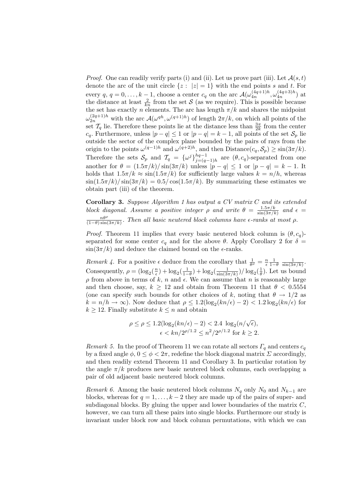*Proof.* One can readily verify parts (i) and (ii). Let us prove part (iii). Let  $\mathcal{A}(s,t)$ denote the arc of the unit circle  $\{z : |z| = 1\}$  with the end points s and t. For every q,  $q = 0, \ldots, k-1$ , choose a center  $c_q$  on the arc  $\mathcal{A}(\omega_{4n}^{(4q+1)h}, \omega_{4n}^{(4q+3)h})$  at the distance at least  $\frac{2}{kn}$  from the set S (as we require). This is possible because the set has exactly n elements. The arc has length  $\pi/k$  and shares the midpoint  $\omega_{2n}^{(2q+1)h}$  with the arc  $\mathcal{A}(\omega^{qh}, \omega^{(q+1)h})$  of length  $2\pi/k$ , on which all points of the set  $\mathcal{T}_q$  lie. Therefore these points lie at the distance less than  $\frac{3\pi}{2k}$  from the center  $c_q$ . Furthermore, unless  $|p-q| \leq 1$  or  $|p-q| = k-1$ , all points of the set  $\mathcal{S}_p$  lie outside the sector of the complex plane bounded by the pairs of rays from the origin to the points  $\omega^{(q-1)h}$  and  $\omega^{(q+2)h}$ , and then Distance $(c_q, S_p) \ge \sin(3\pi/k)$ . Therefore the sets  $S_p$  and  $\mathcal{T}_q = {\omega^j}_{i=0}^{hq-1}$  $\begin{array}{c} \frac{nq-1}{q-1} \\ j=(q-1)h \end{array}$  are  $(\theta, c_q)$ -separated from one another for  $\theta = (1.5\pi/k)/\sin(3\pi/k)$  unless  $|p - q| \leq 1$  or  $|p - q| = k - 1$ . It holds that  $1.5\pi/k \approx \sin(1.5\pi/k)$  for sufficiently large values  $k = n/h$ , whereas  $\sin(1.5\pi/k)/\sin(3\pi/k) = 0.5/\cos(1.5\pi/k)$ . By summarizing these estimates we obtain part (iii) of the theorem.

Corollary 3. Suppose Algorithm 1 has output a CV matrix C and its extended block diagonal. Assume a positive integer  $\rho$  and write  $\theta = \frac{1.5\pi/k}{\sin(3\pi/l)}$  $\frac{1.5\pi/k}{\sin(3\pi/k)}$  and  $\epsilon =$  $\frac{n\theta^{\rho}}{(1-\theta)\sin(3\pi/k)}$ . Then all basic neutered block columns have  $\epsilon$ -ranks at most  $\rho$ .

*Proof.* Theorem 11 implies that every basic neutered block column is  $(\theta, c_q)$ separated for some center  $c_q$  and for the above  $\theta$ . Apply Corollary 2 for  $\delta =$  $\sin(3\pi/k)$  and deduce the claimed bound on the  $\epsilon$ -ranks.

Remark 4. For a positive  $\epsilon$  deduce from the corollary that  $\frac{1}{\theta^{\rho}} = \frac{n}{\epsilon} \frac{1}{1-\theta} \frac{1}{\sin(3\pi/k)}$ . Consequently,  $\rho = (\log_2(\frac{n}{\epsilon}) + \log_2(\frac{1}{1-\theta}) + \log_2(\frac{1}{\sin(3\pi/k)})/\log_2(\frac{1}{\theta})$ . Let us bound  $\rho$  from above in terms of k, n and  $\epsilon$ . We can assume that n is reasonably large and then choose, say,  $k \ge 12$  and obtain from Theorem 11 that  $\theta < 0.5554$ (one can specify such bounds for other choices of k, noting that  $\theta \to 1/2$  as  $k = n/h \to \infty$ ). Now deduce that  $\rho \leq 1.2(\log_2(kn/\epsilon) - 2) < 1.2 \log_2(kn/\epsilon)$  for  $k \geq 12$ . Finally substitute  $k \leq n$  and obtain

$$
\rho \le \rho \le 1.2(\log_2(kn/\epsilon) - 2) < 2.4 \log_2(n/\sqrt{\epsilon}),
$$
\n
$$
\epsilon < kn/2^{\rho/1.2} \le n^2/2^{\rho/1.2} \text{ for } k \ge 2.
$$

Remark 5. In the proof of Theorem 11 we can rotate all sectors  $\Gamma_q$  and centers  $c_q$ by a fixed angle  $\phi$ ,  $0 \leq \phi < 2\pi$ , redefine the block diagonal matrix  $\Sigma$  accordingly, and then readily extend Theorem 11 and Corollary 3. In particular rotation by the angle  $\pi/k$  produces new basic neutered block columns, each overlapping a pair of old adjacent basic neutered block columns.

Remark 6. Among the basic neutered block columns  $N_q$  only  $N_0$  and  $N_{k-1}$  are blocks, whereas for  $q = 1, \ldots, k - 2$  they are made up of the pairs of super- and subdiagonal blocks. By gluing the upper and lower boundaries of the matrix  $C$ , however, we can turn all these pairs into single blocks. Furthermore our study is invariant under block row and block column permutations, with which we can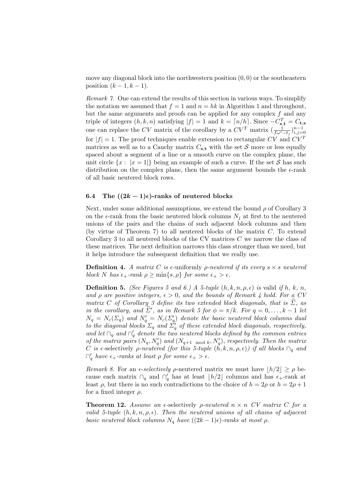move any diagonal block into the northwestern position  $(0, 0)$  or the southeastern position  $(k-1, k-1)$ .

Remark 7. One can extend the results of this section in various ways. To simplify the notation we assumed that  $f = 1$  and  $n = hk$  in Algorithm 1 and throughout, but the same arguments and proofs can be applied for any complex  $f$  and any triple of integers  $(h, k, n)$  satisfying  $|f| = 1$  and  $k = \lceil n/h \rceil$ . Since  $-C_{s,t}^T = C_{t,s}$ one can replace the CV matrix of the corollary by a  $CV^T$  matrix  $\left(\frac{1}{f\omega^i-t_j}\right)_{i,j=0}^{n-1}$ for  $|f| = 1$ . The proof techniques enable extension to rectangular CV and CV<sup>T</sup> matrices as well as to a Cauchy matrix  $C_{s,t}$  with the set S more or less equally spaced about a segment of a line or a smooth curve on the complex plane, the unit circle  $\{x : |x = 1|\}$  being an example of such a curve. If the set S has such distribution on the complex plane, then the same argument bounds the  $\epsilon$ -rank of all basic neutered block rows.

#### 6.4 The  $((2k-1)\epsilon)$ -ranks of neutered blocks

Next, under some additional assumptions, we extend the bound  $\rho$  of Corollary 3 on the  $\epsilon$ -rank from the basic neutered block columns  $N_i$  at first to the neutered unions of the pairs and the chains of such adjacent block columns and then (by virtue of Theorem 7) to all neutered blocks of the matrix  $C$ . To extend Corollary 3 to all neutered blocks of the CV matrices  $C$  we narrow the class of these matrices. The next definition narrows this class stronger than we need, but it helps introduce the subsequent definition that we really use.

**Definition 4.** A matrix C is  $\epsilon$ -uniformly *p*-neutered if its every  $s \times s$  neutered block N has  $\epsilon_+$ -rank  $\rho \ge \min\{s, \rho\}$  for some  $\epsilon_+ > \epsilon$ .

**Definition 5.** (See Figures 5 and 6.) A 5-tuple  $(h, k, n, \rho, \epsilon)$  is valid if h, k, n, and  $\rho$  are positive integers,  $\epsilon > 0$ , and the bounds of Remark 4 hold. For a CV matrix C of Corollary 3 define its two extended block diagonals, that is  $\Sigma$ , as in the corollary, and  $\hat{\Sigma}'$ , as in Remark 5 for  $\phi = \pi/k$ . For  $q = 0, \ldots, k - 1$  let  $N_q = N_c(\Sigma_q)$  and  $N'_q = N_c(\Sigma_q')$  denote the basic neutered block columns dual to the diagonal blocks  $\Sigma_q$  and  $\Sigma'_q$  of these extended block diagonals, respectively, and let  $\cap_q$  and  $\cap'_q$  denote the two neutered blocks defined by the common entries of the matrix pairs  $(N_q, N'_q)$  and  $(N_{q+1 \mod k}, N'_q)$ , respectively. Then the matrix C is  $\epsilon$ -selectively  $\rho$ -neutered (for this 5-tuple  $(h, k, n, \rho, \epsilon)$ ) if all blocks  $\cap_q$  and  $\bigcap_{q}^{\prime}$  have  $\epsilon_{+}$ -ranks at least  $\rho$  for some  $\epsilon_{+} > \epsilon$ .

Remark 8. For an  $\epsilon$ -selectively  $\rho$ -neutered matrix we must have  $|h/2| \ge \rho$  because each matrix  $\cap_q$  and  $\cap'_q$  has at least  $\lfloor h/2 \rfloor$  columns and has  $\epsilon_+$ -rank at least  $\rho$ , but there is no such contradictions to the choice of  $h = 2\rho$  or  $h = 2\rho + 1$ for a fixed integer  $\rho$ .

**Theorem 12.** Assume an  $\epsilon$ -selectively *ρ*-neutered  $n \times n$  CV matrix C for a valid 5-tuple  $(h, k, n, \rho, \epsilon)$ . Then the neutered unions of all chains of adjacent basic neutered block columns  $N_q$  have  $((2k-1)\epsilon)$ -ranks at most  $\rho$ .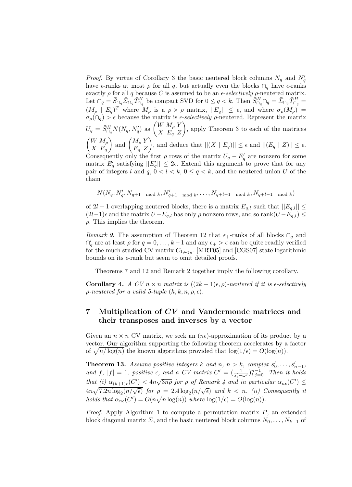*Proof.* By virtue of Corollary 3 the basic neutered block columns  $N_q$  and  $N'_q$ have  $\epsilon$ -ranks at most  $\rho$  for all q, but actually even the blocks  $\cap_q$  have  $\epsilon$ -ranks exactly  $\rho$  for all q because C is assumed to be an  $\epsilon$ -selectively  $\rho$ -neutered matrix. Let  $\bigcap_q = \bar{S}_{\bigcap_q} \bar{\Sigma}_{\bigcap_q} \bar{T}_{\bigcap_q}^H$  be compact SVD for  $0 \le q < k$ . Then  $\bar{S}_{\bigcap_q}^H \bigcap_q = \bar{\Sigma}_{\bigcap_q} \bar{T}_{\bigcap_q}^H =$  $(M_\rho \mid E_q)^T$  where  $M_\rho$  is a  $\rho \times \rho$  matrix,  $||E_q|| \leq \epsilon$ , and where  $\sigma_\rho(M_\rho)$  =  $\sigma_{\rho}(\cap_q) > \epsilon$  because the matrix is  $\epsilon$ -selectively  $\rho$ -neutered. Represent the matrix  $U_q = \bar{S}_{\cap_q}^H N(N_q, N_q')$  as  $\begin{pmatrix} W & M_\rho & Y \\ X & F_{\rho} & Z \end{pmatrix}$  $X$   $E_q$   $Z$  , apply Theorem 3 to each of the matrices  $\int W M_\rho$  $X$   $E_q$ ) and  $\begin{pmatrix} M_{\rho} Y \\ E & 7 \end{pmatrix}$  $E_q Z$ ), and deduce that  $||(X \nvert E_q)|| \leq \epsilon$  and  $||(E_q \nvert Z)|| \leq \epsilon$ . Consequently only the first  $\rho$  rows of the matrix  $U_q - E'_q$  are nonzero for some matrix  $E_q'$  satisfying  $||E_q'|| \leq 2\epsilon$ . Extend this argument to prove that for any pair of integers l and  $q, 0 < l < k, 0 \leq q < k$ , and the neutered union U of the chain

$$
N(N_q, N'_q, N_{q+1 \mod k}, N'_{q+1 \mod k}, \ldots, N_{q+l-1 \mod k}, N_{q+l-1 \mod k})
$$

of 2l − 1 overlapping neutered blocks, there is a matrix  $E_{q,l}$  such that  $||E_{q,l}|| \leq$  $(2l-1)\epsilon$  and the matrix  $U - E_{q,l}$  has only  $\rho$  nonzero rows, and so rank $(U - E_{q,l}) \leq$  $\rho$ . This implies the theorem.

Remark 9. The assumption of Theorem 12 that  $\epsilon_+$ -ranks of all blocks  $\cap_q$  and  $\bigcap'_{q}$  are at least  $\rho$  for  $q = 0, \ldots, k-1$  and any  $\epsilon_{+} > \epsilon$  can be quite readily verified for the much studied CV matrix  $C_{1,\omega_{2n}}$ . [MRT05] and [CGS07] state logarithmic bounds on its  $\epsilon$ -rank but seem to omit detailed proofs.

Theorems 7 and 12 and Remark 2 together imply the following corollary.

Corollary 4. A CV  $n \times n$  matrix is  $((2k-1)\epsilon, \rho)$ -neutered if it is  $\epsilon$ -selectively  $\rho$ -neutered for a valid 5-tuple  $(h, k, n, \rho, \epsilon)$ .

### 7 Multiplication of CV and Vandermonde matrices and their transposes and inverses by a vector

Given an  $n \times n$  CV matrix, we seek an  $(n\epsilon)$ -approximation of its product by a vector. Our algorithm supporting the following theorem accelerates by a factor of  $\sqrt{n/\log(n)}$  the known algorithms provided that  $\log(1/\epsilon) = O(\log(n)).$ 

**Theorem 13.** Assume positive integers k and n,  $n > k$ , complex  $s'_0, \ldots, s'_{n-1}$ , and f,  $|f| = 1$ , positive  $\epsilon$ , and a CV matrix  $C' = (\frac{1}{s_i' - \omega^j})_{i,j=0}^{n-1}$ . Then it holds that (i)  $\alpha_{(k+1)\epsilon}(C') < 4n\sqrt{3n\rho}$  for  $\rho$  of Remark 4 and in particular  $\alpha_{n\epsilon}(C') \leq$  $4n\sqrt{7.2n\log_2(n/\sqrt{\epsilon})}$  for  $\rho = 2.4\log_2(n/\sqrt{\epsilon})$  and  $k < n$ . (ii) Consequently it holds that  $\alpha_{n\epsilon}(C') = O(n\sqrt{n\log(n)})$  where  $\log(1/\epsilon) = O(\log(n)).$ 

*Proof.* Apply Algorithm 1 to compute a permutation matrix  $P$ , an extended block diagonal matrix  $\Sigma$ , and the basic neutered block columns  $N_0, \ldots, N_{k-1}$  of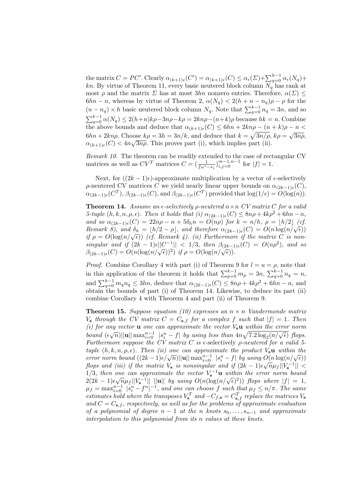the matrix  $C = PC'$ . Clearly  $\alpha_{(k+1)\epsilon}(C') = \alpha_{(k+1)\epsilon}(C) \leq \alpha_{\epsilon}(\Sigma) + \sum_{q=0}^{k-1} \alpha_{\epsilon}(N_q) +$ kn. By virtue of Theorem 11, every basic neutered block column  $N_q$  has rank at most  $\rho$  and the matrix  $\Sigma$  has at most  $3hn$  nonzero entries. Therefore,  $\alpha(\Sigma) \leq$  $6hn - n$ , whereas by virtue of Theorem 2,  $\alpha(N_q) < 2(h + n - n_q)\rho - \rho$  for the  $(n - n_q) \times h$  basic neutered block column  $N_q$ . Note that  $\sum_{q=0}^{k-1} n_q = 3n$ , and so  $\sum_{q=0}^{k-1} \alpha(N_q) \leq 2(h+n)k\rho - 3n\rho - k\rho = 2kn\rho - (n+k)\rho$  because  $hk = n$ . Combine the above bounds and deduce that  $\alpha_{(k+1)\epsilon}(C) \leq 6hn + 2kn\rho - (n+k)\rho - n <$  $6hn + 2kn\rho$ . Choose  $k\rho = 3h = 3n/k$ , and deduce that  $k = \sqrt{3n/\rho}$ ,  $k\rho = \sqrt{3n\rho}$ ,  $\alpha_{(k+1)\epsilon}(C) < 4n\sqrt{3n\rho}$ . This proves part (i), which implies part (ii).

Remark 10. The theorem can be readily extended to the case of rectangular CV matrices as well as  $CV^T$  matrices  $C = \left(\frac{1}{f\omega^i - s_j}\right)_{i,j=0}^{m-1,n-1}$  for  $|f| = 1$ .

Next, for  $((2k-1)\epsilon)$ -approximate multiplication by a vector of  $\epsilon$ -selectively ρ-neutered CV matrices C we yield nearly linear upper bounds on  $\alpha_{(2k-1)\epsilon}(C)$ ,  $\alpha_{(2k-1)\epsilon}(C^T), \beta_{(2k-1)\epsilon}(C), \text{and } \beta_{(2k-1)\epsilon}(C^T)$  provided that  $\log(1/\epsilon) = O(\log(n)).$ 

**Theorem 14.** Assume an  $\epsilon$ -selectively  $\rho$ -neutered  $n \times n$  CV matrix C for a valid 5-tuple  $(h, k, n, \rho, \epsilon)$ . Then it holds that  $(i) \alpha_{(2k-1)\epsilon}(C) \leq 8n\rho + 4k\rho^2 + 6hn - n$ , and so  $\alpha_{(2k-1)\epsilon}(C) = 22n\rho - n + 5\delta_h n = O(n\rho)$  for  $k = n/h$ ,  $\rho = \lfloor h/2 \rfloor$  (cf. Remark 8), and  $\delta_h = \lfloor h/2 - \rho \rfloor$ , and therefore  $\alpha_{(2k-1)\epsilon}(C) = O(n \log(n/\sqrt{\epsilon}))$  $\lim_{\delta \to 0} \sum_{n=0}^{\infty} \frac{d^n}{(n-\delta)^n} \left( \frac{n}{\delta} \right) = \lim_{n \to \infty} \frac{d^n}{(n-\delta)^n} \left( \frac{n}{\delta} \right)$  (cf. Remark 4). (ii) Furthermore if the matrix C is nonsingular and if  $(2k-1)\epsilon ||C^{-1}|| < 1/3$ , then  $\beta_{(2k-1)\epsilon}(C) = O(n\rho^2)$ , and so  $\beta_{(2k-1)\epsilon}(C) = O(n(\log(n/\sqrt{\epsilon}))^2)$  if  $\rho = O(\log(n/\sqrt{\epsilon}))$ .

*Proof.* Combine Corollary 4 with part (i) of Theorem 9 for  $l = u = \rho$ , note that in this application of the theorem it holds that  $\sum_{p=0}^{k-1} m_p = 3n$ ,  $\sum_{q=0}^{k-1} n_q = n$ , and  $\sum_{q=0}^{k-1} m_q n_q \leq 3hn$ , deduce that  $\alpha_{(2k-1)\epsilon}(C) \leq 8n\rho + 4k\rho^2 + 6hn - n$ , and obtain the bounds of part (i) of Theorem 14. Likewise, to deduce its part (ii) combine Corollary 4 with Theorem 4 and part (ii) of Theorem 9.

**Theorem 15.** Suppose equation (10) expresses an  $n \times n$  Vandermonde matrix  $V_s$  through the CV matrix  $C = C_{s,f}$  for a complex f such that  $|f| = 1$ . Then (i) for any vector **u** one can approximate the vector  $V_s$ **u** within the error norm bound  $(\epsilon \sqrt{n}) ||u|| \max_{i=0}^{n-1} |s_i^n - f|$  by using less than  $4n\sqrt{7.2 \log_2(n/\sqrt{\epsilon})}$  flops. Furthermore suppose the CV matrix C is  $\epsilon$ -selectively  $\rho$ -neutered for a valid 5tuple  $(h, k, n, \rho, \epsilon)$ . Then (ii) one can approximate the product  $V_s$ **u** within the product  $\chi_s$  which the<br>error norm bound  $((2k-1)\epsilon/\sqrt{n})||\mathbf{u}||\max_{i=0}^{n-1} |s_i^n - f|$  by using  $O(n \log(n/\sqrt{\epsilon}))$ flops and (iii) if the matrix  $V_{\bf s}$  is nonsingular and if  $(2k-1)\epsilon\sqrt{n}\mu_f||V_{\bf s}^{-1}|| <$ 1/3, then one can approximate the vector  $V_5^{-1}$ **u** within the error norm bound  $2(2k-1)\epsilon\sqrt{n}\mu_f||V_{\rm s}^{-1}||$  ||**u**|| by using  $O(n(\log(n/\sqrt{\epsilon})^2))$  flops where  $|f| = 1$ ,  $\mu_f = \max_{i=0}^{n-1} |s_i^n - f^n|^{-1}$ , and one can choose f such that  $\mu_f \leq n/\pi$ . The same estimates hold where the transposes  $V_s^T$  and  $-C_{f,s} = C_{s,f}^T$  replace the matrices  $V_s$ and  $C = C_{\mathbf{s},f}$ , respectively, as well as for the problems of approximate evaluation of a polynomial of degree  $n-1$  at the n knots  $s_0, \ldots, s_{n-1}$  and approximate interpolation to this polynomial from its n values at these knots.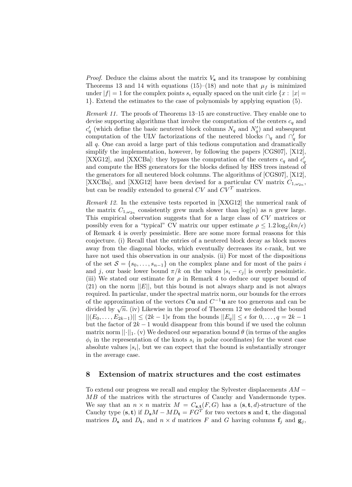*Proof.* Deduce the claims about the matrix  $V_s$  and its transpose by combining Theorems 13 and 14 with equations (15)–(18) and note that  $\mu_f$  is minimized under  $|f| = 1$  for the complex points  $s_i$  equally spaced on the unit cirle  $\{x : |x| =$ 1}. Extend the estimates to the case of polynomials by applying equation (5).

Remark 11. The proofs of Theorems 13–15 are constructive. They enable one to devise supporting algorithms that involve the computation of the centers  $c_q$  and  $c'_{q}$  (which define the basic neutered block columns  $N_{q}$  and  $N'_{q}$ ) and subsequent computation of the ULV factorizations of the neutered blocks  $\cap_q$  and  $\cap'_q$  for all q. One can avoid a large part of this tedious computation and dramatically simplify the implementation, however, by following the papers [CGS07], [X12], [XXG12], and [XXCBa]: they bypass the computation of the centers  $c_q$  and  $c'_q$ and compute the HSS generators for the blocks defined by HSS trees instead of the generators for all neutered block columns. The algorithms of [CGS07], [X12], [XXCBa], and [XXG12] have been devised for a particular CV matrix  $C_{1,\omega_{2n}}$ , but can be readily extended to general  $CV$  and  $CV<sup>T</sup>$  matrices.

Remark 12. In the extensive tests reported in [XXG12] the numerical rank of the matrix  $C_{1,\omega_{2n}}$  consistently grew much slower than  $log(n)$  as n grew large. This empirical observation suggests that for a large class of CV matrices or possibly even for a "typical" CV matrix our upper estimate  $\rho \leq 1.2 \log_2(kn/\epsilon)$ of Remark 4 is overly pessimistic. Here are some more formal reasons for this conjecture. (i) Recall that the entries of a neutered block decay as block moves away from the diagonal blocks, which eventually decreases its  $\epsilon$ -rank, but we have not used this observation in our analysis. (ii) For most of the dispositions of the set  $S = \{s_0, \ldots, s_{n-1}\}\$  on the complex plane and for most of the pairs i and j, our basic lower bound  $\pi/k$  on the values  $|s_i - c_j|$  is overly pessimistic. (iii) We stated our estimate for  $\rho$  in Remark 4 to deduce our upper bound of  $(21)$  on the norm  $||E||$ , but this bound is not always sharp and is not always required. In particular, under the spectral matrix norm, our bounds for the errors of the approximation of the vectors  $C$ **u** and  $C^{-1}$ **u** are too generous and can be of the approximation of the vectors  $C$ **u** and  $C$  are too generous and can be divided by  $\sqrt{n}$ . (iv) Likewise in the proof of Theorem 12 we deduced the bound  $||(E_0, \ldots, E_{2k-1})|| \leq (2k-1)\epsilon$  from the bounds  $||E_q|| \leq \epsilon$  for  $0, \ldots, q = 2k-1$ but the factor of  $2k - 1$  would disappear from this bound if we used the column matrix norm  $||\cdot||_1$ . (v) We deduced our separation bound  $\theta$  (in terms of the angles  $\phi_i$  in the representation of the knots  $s_i$  in polar coordinates) for the worst case absolute values  $|s_i|$ , but we can expect that the bound is substantially stronger in the average case.

#### 8 Extension of matrix structures and the cost estimates

To extend our progress we recall and employ the Sylvester displacements  $AM -$ MB of the matrices with the structures of Cauchy and Vandermonde types. We say that an  $n \times n$  matrix  $M = C_{s,t}(F, G)$  has a  $(s, t, d)$ -structure of the Cauchy type  $(\mathbf{s}, \mathbf{t})$  if  $D_{\mathbf{s}}M - MD_{\mathbf{t}} = FG^{T}$  for two vectors **s** and **t**, the diagonal matrices  $D_s$  and  $D_t$ , and  $n \times d$  matrices F and G having columns  $f_j$  and  $g_j$ ,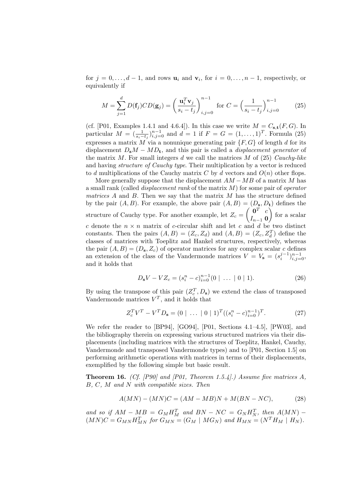for  $j = 0, \ldots, d - 1$ , and rows  $\mathbf{u}_i$  and  $\mathbf{v}_i$ , for  $i = 0, \ldots, n - 1$ , respectively, or equivalently if

$$
M = \sum_{j=1}^{d} D(\mathbf{f}_j) C D(\mathbf{g}_j) = \left(\frac{\mathbf{u}_i^T \mathbf{v}_j}{s_i - t_j}\right)_{i,j=0}^{n-1} \text{ for } C = \left(\frac{1}{s_i - t_j}\right)_{i,j=0}^{n-1}
$$
(25)

(cf. [P01, Examples 1.4.1 and 4.6.4]). In this case we write  $M = C_{s,t}(F, G)$ . In particular  $M = (\frac{1}{s_i - t_j})_{i,j=0}^{n-1}$  and  $d = 1$  if  $F = G = (1, ..., 1)^T$ . Formula (25) expresses a matrix M via a nonunique generating pair  $\{F, G\}$  of length d for its displacement  $D_sM - MD_t$ , and this pair is called a *displacement generator* of the matrix  $M$ . For small integers  $d$  we call the matrices  $M$  of (25) *Cauchy-like* and having structure of Cauchy type. Their multiplication by a vector is reduced to d multiplications of the Cauchy matrix C by d vectors and  $O(n)$  other flops.

More generally suppose that the displacement  $AM - MB$  of a matrix M has a small rank (called *displacement rank* of the matrix  $M$ ) for some pair of *operator* matrices A and B. Then we say that the matrix M has the structure defined by the pair  $(A, B)$ . For example, the above pair  $(A, B) = (D_{s}, D_{t})$  defines the structure of Cauchy type. For another example, let  $Z_c = \begin{pmatrix} 0^T & c \\ r & 0 \end{pmatrix}$  $I_{n-1}$  0  $\int$  for a scalar c denote the  $n \times n$  matrix of c-circular shift and let c and d be two distinct constants. Then the pairs  $(A, B) = (Z_c, Z_d)$  and  $(A, B) = (Z_c, Z_d^T)$  define the classes of matrices with Toeplitz and Hankel structures, respectively, whereas the pair  $(A, B) = (D_s, Z_c)$  of operator matrices for any complex scalar c defines an extension of the class of the Vandermonde matrices  $V = V_s = (s_i^{j-1})_{i,j=0}^{n-1}$ , and it holds that

$$
D_{\mathbf{s}}V - VZ_c = (s_i^n - c)_{i=0}^{n-1} (0 \mid \dots \mid 0 \mid 1).
$$
 (26)

By using the transpose of this pair  $(Z_c^T, D_s)$  we extend the class of transposed Vandermonde matrices  $V^T$ , and it holds that

$$
Z_c^T V^T - V^T D_s = (0 \mid \dots \mid 0 \mid 1)^T ((s_i^n - c)_{i=0}^{n-1})^T.
$$
 (27)

We refer the reader to [BP94], [GO94], [P01, Sections 4.1–4.5], [PW03], and the bibliography therein on expressing various structured matrices via their displacements (including matrices with the structures of Toeplitz, Hankel, Cauchy, Vandermonde and transposed Vandermonde types) and to [P01, Section 1.5] on performing arithmetic operations with matrices in terms of their displacements, exemplified by the following simple but basic result.

**Theorem 16.** (Cf. [P90] and [P01, Theorem 1.5.4].) Assume five matrices A, B, C, M and N with compatible sizes. Then

$$
A(MN) - (MN)C = (AM - MB)N + M(BN - NC),\tag{28}
$$

and so if  $AM - MB = G_M H_M^T$  and  $BN - NC = G_N H_N^T$ , then  $A(MN)$  –  $(MN)C = G_{MN}H_{MN}^T$  for  $G_{MN} = (G_M \mid MG_N)$  and  $H_{MN} = (N^T H_M \mid H_N)$ .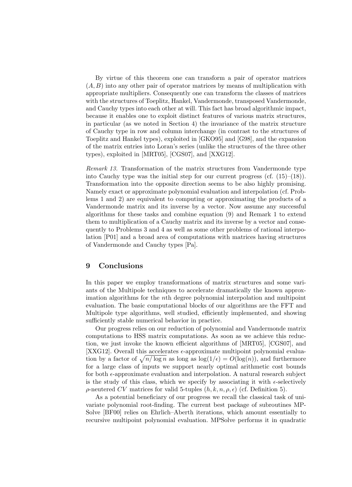By virtue of this theorem one can transform a pair of operator matrices  $(A, B)$  into any other pair of operator matrices by means of multiplication with appropriate multipliers. Consequently one can transform the classes of matrices with the structures of Toeplitz, Hankel, Vandermonde, transposed Vandermonde, and Cauchy types into each other at will. This fact has broad algorithmic impact, because it enables one to exploit distinct features of various matrix structures, in particular (as we noted in Section 4) the invariance of the matrix structure of Cauchy type in row and column interchange (in contrast to the structures of Toeplitz and Hankel types), exploited in [GKO95] and [G98], and the expansion of the matrix entries into Loran's series (unlike the structures of the three other types), exploited in [MRT05], [CGS07], and [XXG12].

Remark 13. Transformation of the matrix structures from Vandermonde type into Cauchy type was the initial step for our current progress (cf.  $(15)-(18)$ ). Transformation into the opposite direction seems to be also highly promising. Namely exact or approximate polynomial evaluation and interpolation (cf. Problems 1 and 2) are equivalent to computing or approximating the products of a Vandermonde matrix and its inverse by a vector. Now assume any successful algorithms for these tasks and combine equation (9) and Remark 1 to extend them to multiplication of a Cauchy matrix and its inverse by a vector and consequently to Problems 3 and 4 as well as some other problems of rational interpolation [P01] and a broad area of computations with matrices having structures of Vandermonde and Cauchy types [Pa].

#### 9 Conclusions

In this paper we employ transformations of matrix structures and some variants of the Multipole techniques to accelerate dramatically the known approximation algorithms for the nth degree polynomial interpolation and multipoint evaluation. The basic computational blocks of our algorithms are the FFT and Multipole type algorithms, well studied, efficiently implemented, and showing sufficiently stable numerical behavior in practice.

Our progress relies on our reduction of polynomial and Vandermonde matrix computations to HSS matrix computations. As soon as we achieve this reduction, we just invoke the known efficient algorithms of [MRT05], [CGS07], and [XXG12]. Overall this accelerates  $\epsilon$ -approximate multipoint polynomial evaluation by a factor of  $\sqrt{n/\log n}$  as long as  $\log(1/\epsilon) = O(\log(n))$ , and furthermore for a large class of inputs we support nearly optimal arithmetic cost bounds for both  $\epsilon$ -approximate evaluation and interpolation. A natural research subject is the study of this class, which we specify by associating it with  $\epsilon$ -selectively ρ-neutered CV matrices for valid 5-tuples  $(h, k, n, \rho, \epsilon)$  (cf. Definition 5).

As a potential beneficiary of our progress we recall the classical task of univariate polynomial root-finding. The current best package of subroutines MP-Solve [BF00] relies on Ehrlich–Aberth iterations, which amount essentially to recursive multipoint polynomial evaluation. MPSolve performs it in quadratic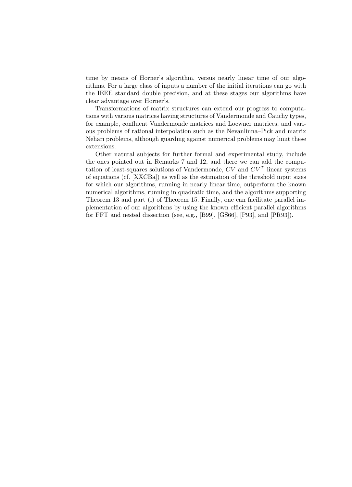time by means of Horner's algorithm, versus nearly linear time of our algorithms. For a large class of inputs a number of the initial iterations can go with the IEEE standard double precision, and at these stages our algorithms have clear advantage over Horner's.

Transformations of matrix structures can extend our progress to computations with various matrices having structures of Vandermonde and Cauchy types, for example, confluent Vandermonde matrices and Loewner matrices, and various problems of rational interpolation such as the Nevanlinna–Pick and matrix Nehari problems, although guarding against numerical problems may limit these extensions.

Other natural subjects for further formal and experimental study, include the ones pointed out in Remarks 7 and 12, and there we can add the computation of least-squares solutions of Vandermonde,  $CV$  and  $CV<sup>T</sup>$  linear systems of equations (cf. [XXCBa]) as well as the estimation of the threshold input sizes for which our algorithms, running in nearly linear time, outperform the known numerical algorithms, running in quadratic time, and the algorithms supporting Theorem 13 and part (i) of Theorem 15. Finally, one can facilitate parallel implementation of our algorithms by using the known efficient parallel algorithms for FFT and nested dissection (see, e.g., [B99], [GS66], [P93], and [PR93]).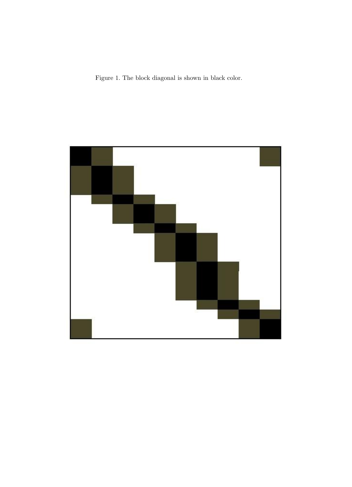Figure 1. The block diagonal is shown in black color.

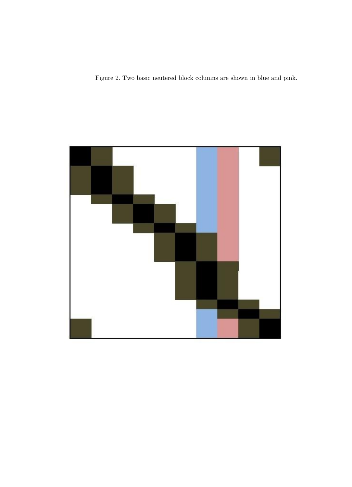Figure 2. Two basic neutered block columns are shown in blue and pink.

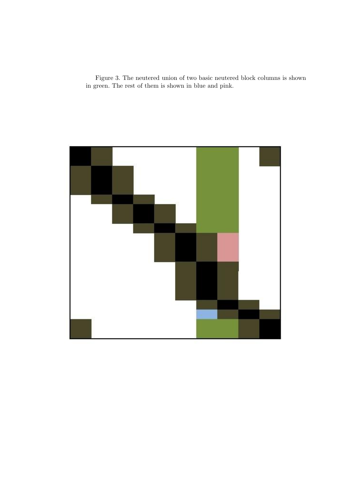Figure 3. The neutered union of two basic neutered block columns is shown in green. The rest of them is shown in blue and pink.

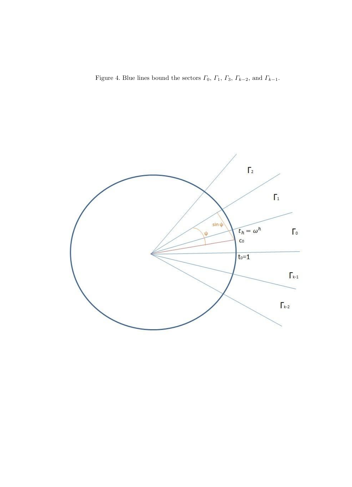Figure 4. Blue lines bound the sectors  $\varGamma_0,$   $\varGamma_1,$   $\varGamma_3,$   $\varGamma_{k-2},$  and  $\varGamma_{k-1}.$ 

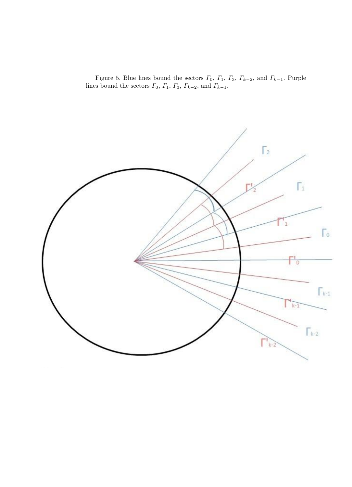Figure 5. Blue lines bound the sectors  $\Gamma_0$ ,  $\Gamma_1$ ,  $\Gamma_3$ ,  $\Gamma_{k-2}$ , and  $\Gamma_{k-1}$ . Purple lines bound the sectors  $\Gamma_0$ ,  $\Gamma_1$ ,  $\Gamma_3$ ,  $\Gamma_{k-2}$ , and  $\Gamma_{k-1}$ .

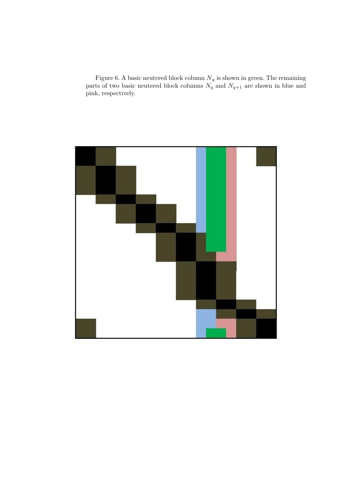Figure 6. A basic neutered block column  $N_q$  is shown in green. The remaining parts of two basic neutered block columns  $N_q$  and  $N_{q+1}$  are shown in blue and pink, respectively.

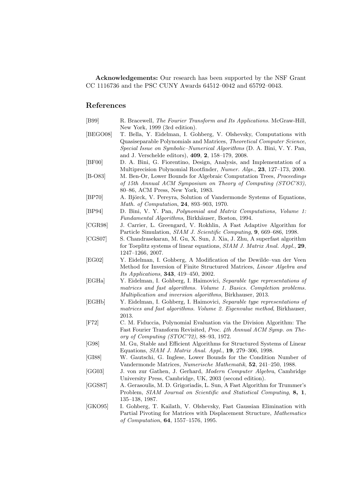Acknowledgements: Our research has been supported by the NSF Grant CC 1116736 and the PSC CUNY Awards 64512–0042 and 65792–0043.

## References

| [B99]         | R. Bracewell, The Fourier Transform and Its Applications. McGraw-Hill,<br>New York, 1999 (3rd edition).                                                                                                                                                                             |
|---------------|-------------------------------------------------------------------------------------------------------------------------------------------------------------------------------------------------------------------------------------------------------------------------------------|
| [BEGO08]      | T. Bella, Y. Eidelman, I. Gohberg, V. Olshevsky, Computations with<br>Quasiseparable Polynomials and Matrices, Theoretical Computer Science,<br><i>Special Issue on Symbolic-Numerical Algorithms</i> (D. A. Bini, V. Y. Pan,<br>and J. Verschelde editors), 409, 2, 158-179, 2008. |
| [BF00]        | D. A. Bini, G. Fiorentino, Design, Analysis, and Implementation of a<br>Multiprecision Polynomial Rootfinder, Numer. Algs., 23, 127-173, 2000.                                                                                                                                      |
| $[B-O83]$     | M. Ben-Or, Lower Bounds for Algebraic Computation Trees, Proceedings<br>of 15th Annual ACM Symposium on Theory of Computing (STOC'83),<br>80-86, ACM Press, New York, 1983.                                                                                                         |
| [BP70]        | A. Björck, V. Pereyra, Solution of Vandermonde Systems of Equations,<br>Math. of Computation, 24, 893-903, 1970.                                                                                                                                                                    |
| [BP94]        | D. Bini, V. Y. Pan, Polynomial and Matrix Computations, Volume 1:<br>Fundamental Algorithms, Birkhäuser, Boston, 1994.                                                                                                                                                              |
| [CGR98]       | J. Carrier, L. Greengard, V. Rokhlin, A Fast Adaptive Algorithm for<br>Particle Simulation, SIAM J. Scientific Computing, 9, 669-686, 1998.                                                                                                                                         |
| [CGS07]       | S. Chandrasekaran, M. Gu, X. Sun, J. Xia, J. Zhu, A superfast algorithm<br>for Toeplitz systems of linear equations, SIAM J. Matrix Anal. Appl., 29,<br>$1247 - 1266$ , 2007.                                                                                                       |
| [EG02]        | Y. Eidelman, I. Gohberg, A Modification of the Dewilde-van der Veen<br>Method for Inversion of Finite Structured Matrices, Linear Algebra and<br><i>Its Applications</i> , <b>343</b> , 419-450, 2002.                                                                              |
| [EGHa]        | Y. Eidelman, I. Gohberg, I. Haimovici, Separable type representations of<br>matrices and fast algorithms. Volume 1. Basics. Completion problems.<br>Multiplication and inversion algorithms, Birkhauser, 2013.                                                                      |
| [EGHb]        | Y. Eidelman, I. Gohberg, I. Haimovici, Separable type representations of<br>matrices and fast algorithms. Volume 2. Eigenvalue method, Birkhauser,<br>2013.                                                                                                                         |
| $[{\rm F}72]$ | C. M. Fiduccia, Polynomial Evaluation via the Division Algorithm: The<br>Fast Fourier Transform Revisited, <i>Proc. 4th Annual ACM Symp.</i> on The-<br>ory of Computing $(TOC'72)$ , 88–93, 1972.                                                                                  |
| [G98]         | M. Gu, Stable and Efficient Algorithms for Structured Systems of Linear<br>Equations, SIAM J. Matrix Anal. Appl., 19, 279-306, 1998.                                                                                                                                                |
| [GI88]        | W. Gautschi, G. Inglese, Lower Bounds for the Condition Number of<br>Vandermonde Matrices, Numerische Mathematik, 52, 241–250, 1988.                                                                                                                                                |
| [GG03]        | J. von zur Gathen, J. Gerhard, Modern Computer Algebra, Cambridge<br>University Press, Cambridge, UK, 2003 (second edition).                                                                                                                                                        |
| [GGS87]       | A. Gerasoulis, M. D. Grigoriadis, L. Sun, A Fast Algorithm for Trummer's<br>Problem, SIAM Journal on Scientific and Statistical Computing, 8, 1,<br>135–138, 1987.                                                                                                                  |
| [GKO95]       | I. Gohberg, T. Kailath, V. Olshevsky, Fast Gaussian Elimination with<br>Partial Pivoting for Matrices with Displacement Structure, Mathematics                                                                                                                                      |

of Computation, 64, 1557–1576, 1995.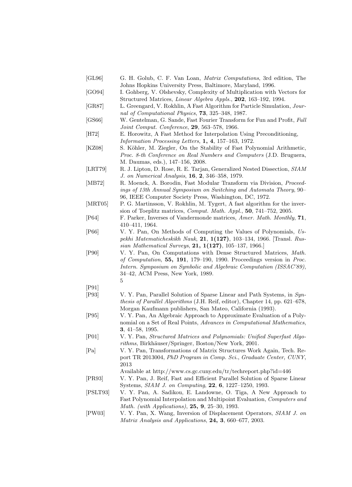- [GL96] G. H. Golub, C. F. Van Loan, Matrix Computations, 3rd edition, The Johns Hopkins University Press, Baltimore, Maryland, 1996.
- [GO94] I. Gohberg, V. Olshevsky, Complexity of Multiplication with Vectors for Structured Matrices, Linear Algebra Appls., 202, 163–192, 1994.
- [GR87] L. Greengard, V. Rokhlin, A Fast Algorithm for Particle Simulation, Journal of Computational Physics, 73, 325–348, 1987.
- [GS66] W. Gentelman, G. Sande, Fast Fourier Transform for Fun and Profit, Full Joint Comput. Conference, 29, 563–578, 1966.
- [H72] E. Horowitz, A Fast Method for Interpolation Using Preconditioning, Information Processing Letters, 1, 4, 157–163, 1972.
- [KZ08] S. Köhler, M. Ziegler, On the Stability of Fast Polynomial Arithmetic, Proc. 8-th Conference on Real Numbers and Computers (J.D. Bruguera, M. Daumas, eds.), 147–156, 2008.
- [LRT79] R. J. Lipton, D. Rose, R. E. Tarjan, Generalized Nested Dissection, SIAM J. on Numerical Analysis, 16, 2, 346–358, 1979.
- [MB72] R. Moenck, A. Borodin, Fast Modular Transform via Division, *Proceed*ings of 13th Annual Symposium on Switching and Automata Theory, 90– 96, IEEE Computer Society Press, Washington, DC, 1972.
- [MRT05] P. G. Martinsson, V. Rokhlin, M. Tygert, A fast algorithm for the inversion of Toeplitz matrices, Comput. Math. Appl., 50, 741–752, 2005.
- [P64] F. Parker, Inverses of Vandermonde matrices, Amer. Math. Monthly, 71, 410–411, 1964.
- [P66] V. Y. Pan, On Methods of Computing the Values of Polynomials, Uspekhi Matematicheskikh Nauk, 21, 1(127), 103–134, 1966. [Transl. Russian Mathematical Surveys, 21, 1(127), 105–137, 1966.]
- [P90] V. Y. Pan, On Computations with Dense Structured Matrices, Math. of Computation, 55, 191, 179–190, 1990. Proceedings version in Proc. Intern. Symposium on Symbolic and Algebraic Computation (ISSAC'89), 34–42, ACM Press, New York, 1989. 5
- [P91]
- [P93] V. Y. Pan, Parallel Solution of Sparse Linear and Path Systems, in Synthesis of Parallel Algorithms (J.H. Reif, editor), Chapter 14, pp. 621–678, Morgan Kaufmann publishers, San Mateo, California (1993).
- [P95] V. Y. Pan, An Algebraic Approach to Approximate Evaluation of a Polynomial on a Set of Real Points, Advances in Computational Mathematics, 3, 41–58, 1995.
- [P01] V. Y. Pan, Structured Matrices and Polynomials: Unified Superfast Algorithms, Birkhäuser/Springer, Boston/New York, 2001.
- [Pa] V. Y. Pan, Transformations of Matrix Structures Work Again, Tech. Report TR 2013004, PhD Program in Comp. Sci., Graduate Center, CUNY, 2013
	- Available at http://www.cs.gc.cuny.edu/tr/techreport.php?id=446
- [PR93] V. Y. Pan, J. Reif, Fast and Efficient Parallel Solution of Sparse Linear Systems, SIAM J. on Computing, 22, 6, 1227–1250, 1993.
- [PSLT93] V. Y. Pan, A. Sadikou, E. Landowne, O. Tiga, A New Approach to Fast Polynomial Interpolation and Multipoint Evaluation, Computers and Math. (with Applications), 25, 9, 25–30, 1993.
- [PW03] V. Y. Pan, X. Wang, Inversion of Displacement Operators, SIAM J. on Matrix Analysis and Applications, 24, 3, 660–677, 2003.